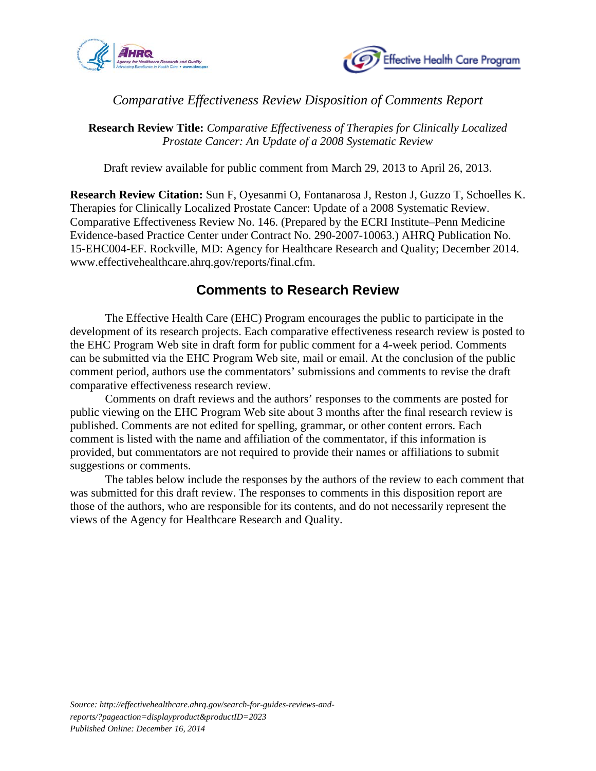



## *Comparative Effectiveness Review Disposition of Comments Report*

**Research Review Title:** *Comparative Effectiveness of Therapies for Clinically Localized Prostate Cancer: An Update of a 2008 Systematic Review*

Draft review available for public comment from March 29, 2013 to April 26, 2013.

**Research Review Citation:** Sun F, Oyesanmi O, Fontanarosa J, Reston J, Guzzo T, Schoelles K. Therapies for Clinically Localized Prostate Cancer: Update of a 2008 Systematic Review. Comparative Effectiveness Review No. 146. (Prepared by the ECRI Institute–Penn Medicine Evidence-based Practice Center under Contract No. 290-2007-10063.) AHRQ Publication No. 15-EHC004-EF. Rockville, MD: Agency for Healthcare Research and Quality; December 2014. www.effectivehealthcare.ahrq.gov/reports/final.cfm.

## **Comments to Research Review**

The Effective Health Care (EHC) Program encourages the public to participate in the development of its research projects. Each comparative effectiveness research review is posted to the EHC Program Web site in draft form for public comment for a 4-week period. Comments can be submitted via the EHC Program Web site, mail or email. At the conclusion of the public comment period, authors use the commentators' submissions and comments to revise the draft comparative effectiveness research review.

Comments on draft reviews and the authors' responses to the comments are posted for public viewing on the EHC Program Web site about 3 months after the final research review is published. Comments are not edited for spelling, grammar, or other content errors. Each comment is listed with the name and affiliation of the commentator, if this information is provided, but commentators are not required to provide their names or affiliations to submit suggestions or comments.

The tables below include the responses by the authors of the review to each comment that was submitted for this draft review. The responses to comments in this disposition report are those of the authors, who are responsible for its contents, and do not necessarily represent the views of the Agency for Healthcare Research and Quality.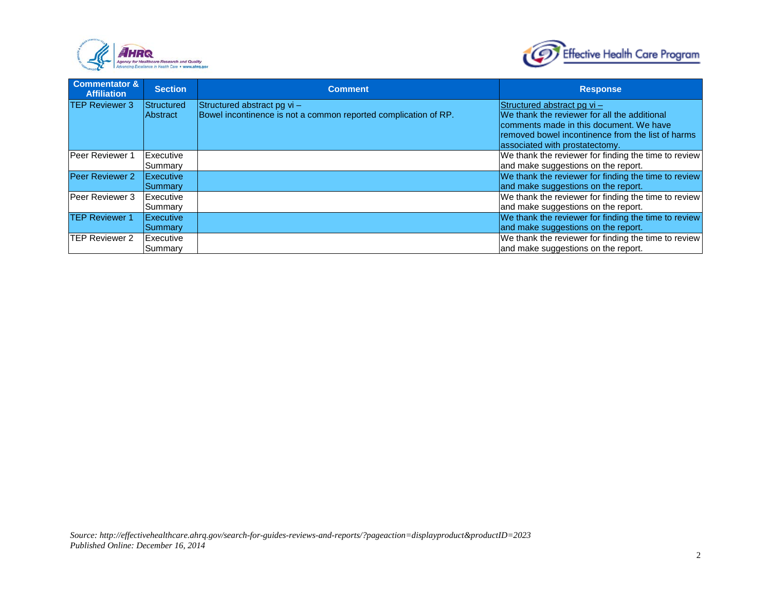



| <b>Commentator &amp;</b><br><b>Affiliation</b> | <b>Section</b>                      | <b>Comment</b>                                                                                   | <b>Response</b>                                                                                                                                                                                                  |
|------------------------------------------------|-------------------------------------|--------------------------------------------------------------------------------------------------|------------------------------------------------------------------------------------------------------------------------------------------------------------------------------------------------------------------|
| <b>TEP Reviewer 3</b>                          | Structured<br><b>Abstract</b>       | Structured abstract pg $vi -$<br>Bowel incontinence is not a common reported complication of RP. | Structured abstract pg $vi -$<br>We thank the reviewer for all the additional<br>comments made in this document. We have<br>Iremoved bowel incontinence from the list of harms<br>associated with prostatectomy. |
| <b>Peer Reviewer 1</b>                         | Executive<br>Summary                |                                                                                                  | We thank the reviewer for finding the time to review<br>and make suggestions on the report.                                                                                                                      |
| Peer Reviewer 2                                | Executive<br><b>Summary</b>         |                                                                                                  | We thank the reviewer for finding the time to review<br>and make suggestions on the report.                                                                                                                      |
| Peer Reviewer 3                                | Executive<br>Summary                |                                                                                                  | We thank the reviewer for finding the time to review<br>and make suggestions on the report.                                                                                                                      |
| <b>TEP Reviewer 1</b>                          | <b>IExecutive</b><br><b>Summary</b> |                                                                                                  | We thank the reviewer for finding the time to review<br>and make suggestions on the report.                                                                                                                      |
| <b>TEP Reviewer 2</b>                          | <b>Executive</b><br>Summary         |                                                                                                  | We thank the reviewer for finding the time to review<br>and make suggestions on the report.                                                                                                                      |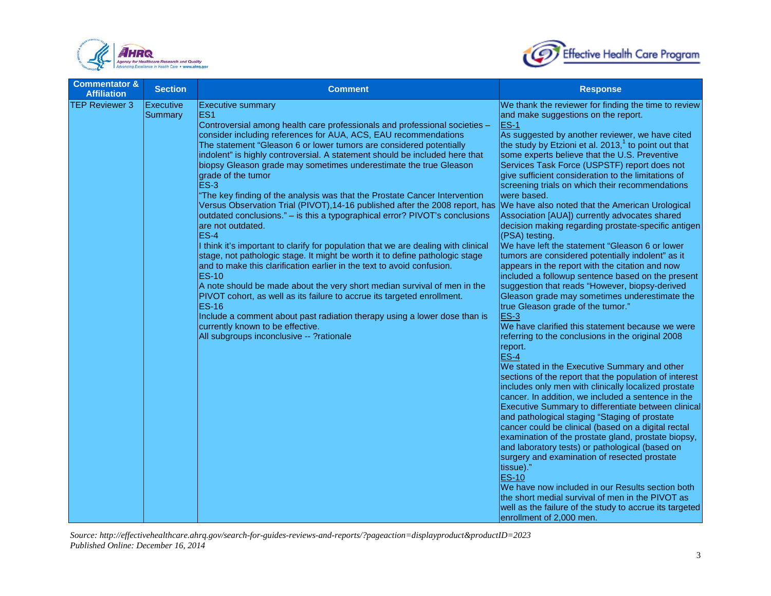



| <b>Commentator &amp;</b><br><b>Affiliation</b> | <b>Section</b>              | <b>Comment</b>                                                                                                                                                                                                                                                                                                                                                                                                                                                                                                                                                                                                                                                                                                                                                                                                                                                                                                                                                                                                                                                                                                                                                                                                                                                                                                                               | <b>Response</b>                                                                                                                                                                                                                                                                                                                                                                                                                                                                                                                                                                                                                                                                                                                                                                                                                                                                                                                                                                                                                                                                                                                                                                                                                                                                                                                                                                                                                                                                                                                                                                                                                                                                                                                                                                                                                                                                                      |
|------------------------------------------------|-----------------------------|----------------------------------------------------------------------------------------------------------------------------------------------------------------------------------------------------------------------------------------------------------------------------------------------------------------------------------------------------------------------------------------------------------------------------------------------------------------------------------------------------------------------------------------------------------------------------------------------------------------------------------------------------------------------------------------------------------------------------------------------------------------------------------------------------------------------------------------------------------------------------------------------------------------------------------------------------------------------------------------------------------------------------------------------------------------------------------------------------------------------------------------------------------------------------------------------------------------------------------------------------------------------------------------------------------------------------------------------|------------------------------------------------------------------------------------------------------------------------------------------------------------------------------------------------------------------------------------------------------------------------------------------------------------------------------------------------------------------------------------------------------------------------------------------------------------------------------------------------------------------------------------------------------------------------------------------------------------------------------------------------------------------------------------------------------------------------------------------------------------------------------------------------------------------------------------------------------------------------------------------------------------------------------------------------------------------------------------------------------------------------------------------------------------------------------------------------------------------------------------------------------------------------------------------------------------------------------------------------------------------------------------------------------------------------------------------------------------------------------------------------------------------------------------------------------------------------------------------------------------------------------------------------------------------------------------------------------------------------------------------------------------------------------------------------------------------------------------------------------------------------------------------------------------------------------------------------------------------------------------------------------|
| <b>TEP Reviewer 3</b>                          | <b>Executive</b><br>Summary | <b>Executive summary</b><br>ES <sub>1</sub><br>Controversial among health care professionals and professional societies -<br>consider including references for AUA, ACS, EAU recommendations<br>The statement "Gleason 6 or lower tumors are considered potentially<br>indolent" is highly controversial. A statement should be included here that<br>biopsy Gleason grade may sometimes underestimate the true Gleason<br>grade of the tumor<br><b>ES-3</b><br>"The key finding of the analysis was that the Prostate Cancer Intervention<br>Versus Observation Trial (PIVOT), 14-16 published after the 2008 report, has<br>outdated conclusions." - is this a typographical error? PIVOT's conclusions<br>are not outdated.<br>$ES-4$<br>I think it's important to clarify for population that we are dealing with clinical<br>stage, not pathologic stage. It might be worth it to define pathologic stage<br>and to make this clarification earlier in the text to avoid confusion.<br><b>ES-10</b><br>A note should be made about the very short median survival of men in the<br>PIVOT cohort, as well as its failure to accrue its targeted enrollment.<br><b>ES-16</b><br>Include a comment about past radiation therapy using a lower dose than is<br>currently known to be effective.<br>All subgroups inconclusive -- ?rationale | We thank the reviewer for finding the time to review<br>and make suggestions on the report.<br>ES-1<br>As suggested by another reviewer, we have cited<br>the study by Etzioni et al. 2013, $1$ to point out that<br>some experts believe that the U.S. Preventive<br>Services Task Force (USPSTF) report does not<br>give sufficient consideration to the limitations of<br>screening trials on which their recommendations<br>were based.<br>We have also noted that the American Urological<br>Association [AUA]) currently advocates shared<br>decision making regarding prostate-specific antigen<br>(PSA) testing.<br>We have left the statement "Gleason 6 or lower<br>tumors are considered potentially indolent" as it<br>appears in the report with the citation and now<br>included a followup sentence based on the present<br>suggestion that reads "However, biopsy-derived<br>Gleason grade may sometimes underestimate the<br>true Gleason grade of the tumor."<br>$ES-3$<br>We have clarified this statement because we were<br>referring to the conclusions in the original 2008<br>report.<br>$ES-4$<br>We stated in the Executive Summary and other<br>sections of the report that the population of interest<br>includes only men with clinically localized prostate<br>cancer. In addition, we included a sentence in the<br>Executive Summary to differentiate between clinical<br>and pathological staging "Staging of prostate<br>cancer could be clinical (based on a digital rectal<br>examination of the prostate gland, prostate biopsy,<br>and laboratory tests) or pathological (based on<br>surgery and examination of resected prostate<br>tissue)."<br><b>ES-10</b><br>We have now included in our Results section both<br>the short medial survival of men in the PIVOT as<br>well as the failure of the study to accrue its targeted<br>enrollment of 2,000 men. |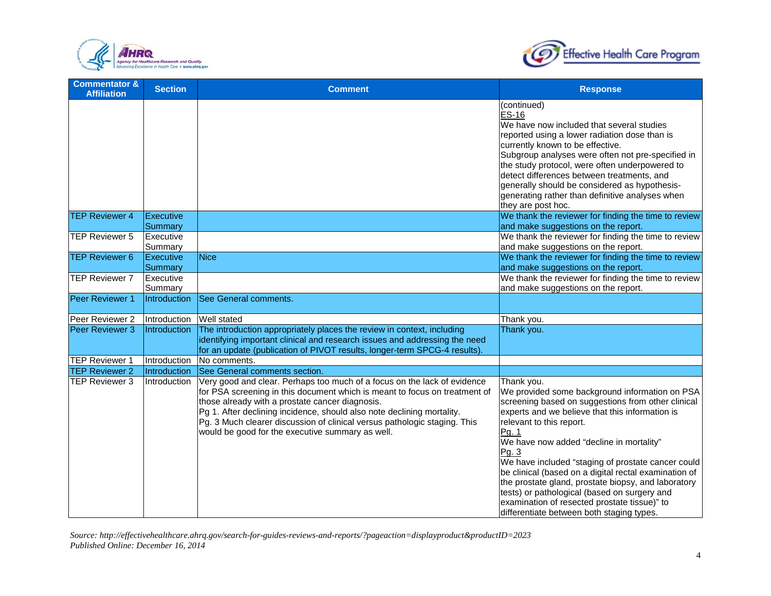



| <b>Commentator &amp;</b><br><b>Affiliation</b> | <b>Section</b>              | <b>Comment</b>                                                                                                                                                                                                                                                                                                                                                                                                       | <b>Response</b>                                                                                                                                                                                                                                                                                                                                                                                                                                                                                                                                                                    |
|------------------------------------------------|-----------------------------|----------------------------------------------------------------------------------------------------------------------------------------------------------------------------------------------------------------------------------------------------------------------------------------------------------------------------------------------------------------------------------------------------------------------|------------------------------------------------------------------------------------------------------------------------------------------------------------------------------------------------------------------------------------------------------------------------------------------------------------------------------------------------------------------------------------------------------------------------------------------------------------------------------------------------------------------------------------------------------------------------------------|
|                                                |                             |                                                                                                                                                                                                                                                                                                                                                                                                                      | (continued)<br><b>ES-16</b><br>We have now included that several studies<br>reported using a lower radiation dose than is<br>currently known to be effective.<br>Subgroup analyses were often not pre-specified in<br>the study protocol, were often underpowered to<br>detect differences between treatments, and<br>generally should be considered as hypothesis-<br>generating rather than definitive analyses when<br>they are post hoc.                                                                                                                                       |
| <b>TEP Reviewer 4</b>                          | <b>Executive</b><br>Summary |                                                                                                                                                                                                                                                                                                                                                                                                                      | We thank the reviewer for finding the time to review<br>and make suggestions on the report.                                                                                                                                                                                                                                                                                                                                                                                                                                                                                        |
| <b>TEP Reviewer 5</b>                          | Executive<br>Summary        |                                                                                                                                                                                                                                                                                                                                                                                                                      | We thank the reviewer for finding the time to review<br>and make suggestions on the report.                                                                                                                                                                                                                                                                                                                                                                                                                                                                                        |
| <b>TEP Reviewer 6</b>                          | Executive<br>Summary        | Nice                                                                                                                                                                                                                                                                                                                                                                                                                 | We thank the reviewer for finding the time to review<br>and make suggestions on the report.                                                                                                                                                                                                                                                                                                                                                                                                                                                                                        |
| <b>ITEP Reviewer 7</b>                         | Executive<br>Summary        |                                                                                                                                                                                                                                                                                                                                                                                                                      | We thank the reviewer for finding the time to review<br>and make suggestions on the report.                                                                                                                                                                                                                                                                                                                                                                                                                                                                                        |
| Peer Reviewer 1                                | <b>Introduction</b>         | See General comments.                                                                                                                                                                                                                                                                                                                                                                                                |                                                                                                                                                                                                                                                                                                                                                                                                                                                                                                                                                                                    |
| Peer Reviewer 2                                | Introduction                | Well stated                                                                                                                                                                                                                                                                                                                                                                                                          | Thank you.                                                                                                                                                                                                                                                                                                                                                                                                                                                                                                                                                                         |
| Peer Reviewer 3                                | Introduction                | The introduction appropriately places the review in context, including<br>identifying important clinical and research issues and addressing the need<br>for an update (publication of PIVOT results, longer-term SPCG-4 results).                                                                                                                                                                                    | Thank you.                                                                                                                                                                                                                                                                                                                                                                                                                                                                                                                                                                         |
| TEP Reviewer 1                                 | Introduction                | No comments.                                                                                                                                                                                                                                                                                                                                                                                                         |                                                                                                                                                                                                                                                                                                                                                                                                                                                                                                                                                                                    |
| <b>TEP Reviewer 2</b>                          | Introduction                | See General comments section.                                                                                                                                                                                                                                                                                                                                                                                        |                                                                                                                                                                                                                                                                                                                                                                                                                                                                                                                                                                                    |
| <b>TEP Reviewer 3</b>                          | Introduction                | Very good and clear. Perhaps too much of a focus on the lack of evidence<br>for PSA screening in this document which is meant to focus on treatment of<br>those already with a prostate cancer diagnosis.<br>Pg 1. After declining incidence, should also note declining mortality.<br>Pg. 3 Much clearer discussion of clinical versus pathologic staging. This<br>would be good for the executive summary as well. | Thank you.<br>We provided some background information on PSA<br>screening based on suggestions from other clinical<br>experts and we believe that this information is<br>relevant to this report.<br>Pg. 1<br>We have now added "decline in mortality"<br>Pg. 3<br>We have included "staging of prostate cancer could<br>be clinical (based on a digital rectal examination of<br>the prostate gland, prostate biopsy, and laboratory<br>tests) or pathological (based on surgery and<br>examination of resected prostate tissue)" to<br>differentiate between both staging types. |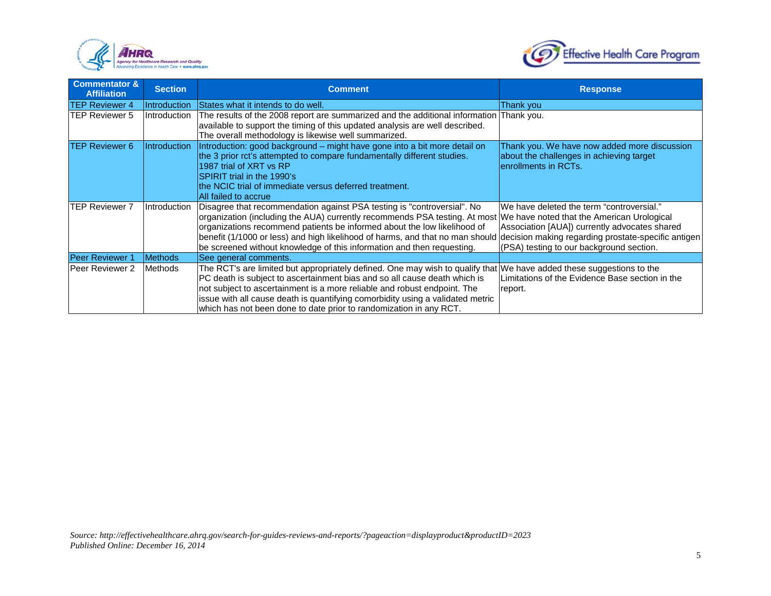



| <b>Commentator &amp;</b><br><b>Affiliation</b> | <b>Section</b>                    | <b>Comment</b>                                                                                                                                                                                                                                                                                                                                                                                                                                                                              | <b>Response</b>                                                                                                                        |
|------------------------------------------------|-----------------------------------|---------------------------------------------------------------------------------------------------------------------------------------------------------------------------------------------------------------------------------------------------------------------------------------------------------------------------------------------------------------------------------------------------------------------------------------------------------------------------------------------|----------------------------------------------------------------------------------------------------------------------------------------|
| <b>TEP Reviewer 4</b>                          | Introduction                      | States what it intends to do well.                                                                                                                                                                                                                                                                                                                                                                                                                                                          | Thank you                                                                                                                              |
| <b>TEP Reviewer 5</b>                          | Introduction                      | The results of the 2008 report are summarized and the additional information Thank you.<br>available to support the timing of this updated analysis are well described.<br>The overall methodology is likewise well summarized.                                                                                                                                                                                                                                                             |                                                                                                                                        |
| <b>TEP Reviewer 6</b>                          | <i><u><b>Introduction</b></u></i> | Introduction: good background – might have gone into a bit more detail on<br>the 3 prior rct's attempted to compare fundamentally different studies.<br>1987 trial of XRT vs RP<br>SPIRIT trial in the 1990's<br>the NCIC trial of immediate versus deferred treatment.<br>All failed to accrue                                                                                                                                                                                             | Thank you. We have now added more discussion<br>about the challenges in achieving target<br>lenrollments in RCTs.                      |
| <b>TEP Reviewer 7</b>                          | Introduction                      | Disagree that recommendation against PSA testing is "controversial". No<br>organization (including the AUA) currently recommends PSA testing. At most We have noted that the American Urological<br>organizations recommend patients be informed about the low likelihood of<br>benefit (1/1000 or less) and high likelihood of harms, and that no man should decision making regarding prostate-specific antigen<br>be screened without knowledge of this information and then requesting. | We have deleted the term "controversial."<br>Association [AUA]) currently advocates shared<br>(PSA) testing to our background section. |
| <b>Peer Reviewer 1</b>                         | <b>Methods</b>                    | See general comments.                                                                                                                                                                                                                                                                                                                                                                                                                                                                       |                                                                                                                                        |
| <b>Peer Reviewer 2</b>                         | <b>Methods</b>                    | The RCT's are limited but appropriately defined. One may wish to qualify that We have added these suggestions to the<br>PC death is subject to ascertainment bias and so all cause death which is<br>not subject to ascertainment is a more reliable and robust endpoint. The<br>issue with all cause death is quantifying comorbidity using a validated metric<br>which has not been done to date prior to randomization in any RCT.                                                       | Limitations of the Evidence Base section in the<br>report.                                                                             |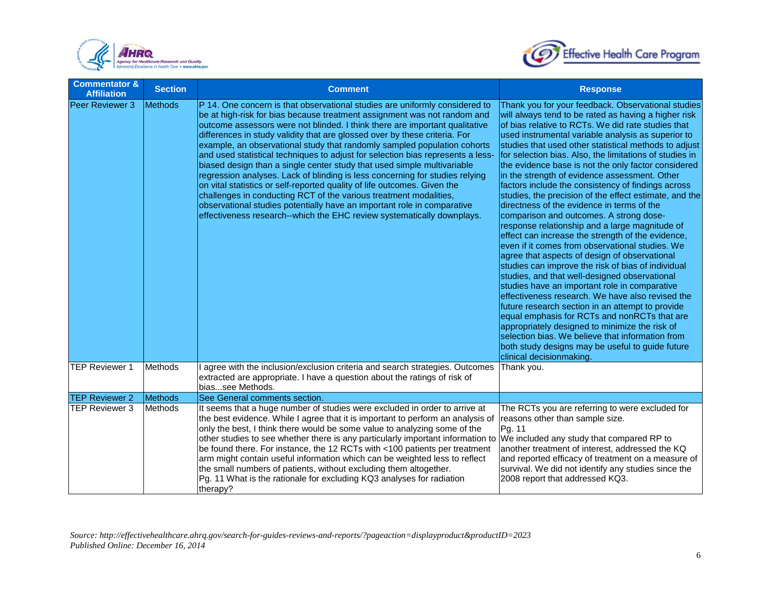



| <b>Commentator &amp;</b><br><b>Affiliation</b> | <b>Section</b> | <b>Comment</b>                                                                                                                                                                                                                                                                                                                                                                                                                                                                                                                                                                                                                                                                                                                                                                                                                                                                                                                                       | <b>Response</b>                                                                                                                                                                                                                                                                                                                                                                                                                                                                                                                                                                                                                                                                                                                                                                                                                                                                                                                                                                                                                                                                                                                                                                                                                                                                                                                                                              |
|------------------------------------------------|----------------|------------------------------------------------------------------------------------------------------------------------------------------------------------------------------------------------------------------------------------------------------------------------------------------------------------------------------------------------------------------------------------------------------------------------------------------------------------------------------------------------------------------------------------------------------------------------------------------------------------------------------------------------------------------------------------------------------------------------------------------------------------------------------------------------------------------------------------------------------------------------------------------------------------------------------------------------------|------------------------------------------------------------------------------------------------------------------------------------------------------------------------------------------------------------------------------------------------------------------------------------------------------------------------------------------------------------------------------------------------------------------------------------------------------------------------------------------------------------------------------------------------------------------------------------------------------------------------------------------------------------------------------------------------------------------------------------------------------------------------------------------------------------------------------------------------------------------------------------------------------------------------------------------------------------------------------------------------------------------------------------------------------------------------------------------------------------------------------------------------------------------------------------------------------------------------------------------------------------------------------------------------------------------------------------------------------------------------------|
| Peer Reviewer 3                                | <b>Methods</b> | P 14. One concern is that observational studies are uniformly considered to<br>be at high-risk for bias because treatment assignment was not random and<br>outcome assessors were not blinded. I think there are important qualitative<br>differences in study validity that are glossed over by these criteria. For<br>example, an observational study that randomly sampled population cohorts<br>and used statistical techniques to adjust for selection bias represents a less-<br>biased design than a single center study that used simple multivariable<br>regression analyses. Lack of blinding is less concerning for studies relying<br>on vital statistics or self-reported quality of life outcomes. Given the<br>challenges in conducting RCT of the various treatment modalities,<br>observational studies potentially have an important role in comparative<br>effectiveness research--which the EHC review systematically downplays. | Thank you for your feedback. Observational studies<br>will always tend to be rated as having a higher risk<br>of bias relative to RCTs. We did rate studies that<br>used instrumental variable analysis as superior to<br>studies that used other statistical methods to adjust<br>for selection bias. Also, the limitations of studies in<br>the evidence base is not the only factor considered<br>in the strength of evidence assessment. Other<br>factors include the consistency of findings across<br>studies, the precision of the effect estimate, and the<br>directness of the evidence in terms of the<br>comparison and outcomes. A strong dose-<br>response relationship and a large magnitude of<br>effect can increase the strength of the evidence,<br>even if it comes from observational studies. We<br>agree that aspects of design of observational<br>studies can improve the risk of bias of individual<br>studies, and that well-designed observational<br>studies have an important role in comparative<br>effectiveness research. We have also revised the<br>future research section in an attempt to provide<br>equal emphasis for RCTs and nonRCTs that are<br>appropriately designed to minimize the risk of<br>selection bias. We believe that information from<br>both study designs may be useful to guide future<br>clinical decisionmaking. |
| <b>TEP Reviewer 1</b>                          | Methods        | I agree with the inclusion/exclusion criteria and search strategies. Outcomes<br>extracted are appropriate. I have a question about the ratings of risk of<br>biassee Methods.                                                                                                                                                                                                                                                                                                                                                                                                                                                                                                                                                                                                                                                                                                                                                                       | Thank you.                                                                                                                                                                                                                                                                                                                                                                                                                                                                                                                                                                                                                                                                                                                                                                                                                                                                                                                                                                                                                                                                                                                                                                                                                                                                                                                                                                   |
| <b>TEP Reviewer 2</b>                          | Methods        | See General comments section.                                                                                                                                                                                                                                                                                                                                                                                                                                                                                                                                                                                                                                                                                                                                                                                                                                                                                                                        |                                                                                                                                                                                                                                                                                                                                                                                                                                                                                                                                                                                                                                                                                                                                                                                                                                                                                                                                                                                                                                                                                                                                                                                                                                                                                                                                                                              |
| <b>TEP Reviewer 3</b>                          | Methods        | It seems that a huge number of studies were excluded in order to arrive at<br>the best evidence. While I agree that it is important to perform an analysis of<br>only the best, I think there would be some value to analyzing some of the<br>other studies to see whether there is any particularly important information to We included any study that compared RP to<br>be found there. For instance, the 12 RCTs with <100 patients per treatment<br>arm might contain useful information which can be weighted less to reflect<br>the small numbers of patients, without excluding them altogether.<br>Pg. 11 What is the rationale for excluding KQ3 analyses for radiation<br>therapy?                                                                                                                                                                                                                                                        | The RCTs you are referring to were excluded for<br>reasons other than sample size.<br>Pg. 11<br>another treatment of interest, addressed the KQ<br>and reported efficacy of treatment on a measure of<br>survival. We did not identify any studies since the<br>2008 report that addressed KQ3.                                                                                                                                                                                                                                                                                                                                                                                                                                                                                                                                                                                                                                                                                                                                                                                                                                                                                                                                                                                                                                                                              |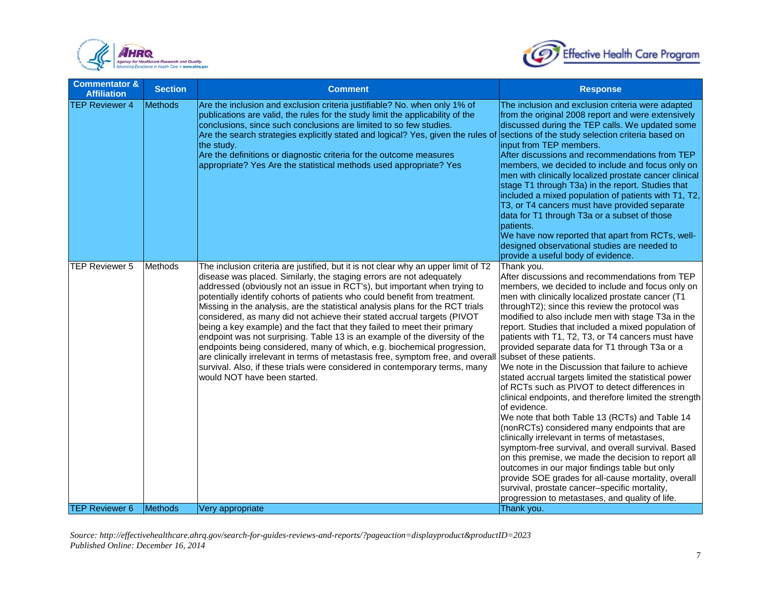



| <b>Commentator &amp;</b><br><b>Affiliation</b> | <b>Section</b> | <b>Comment</b>                                                                                                                                                                                                                                                                                                                                                                                                                                                                                                                                                                                                                                                                                                                                                                                                                                                                                                               | <b>Response</b>                                                                                                                                                                                                                                                                                                                                                                                                                                                                                                                                                                                                                                                                                                                                                                                                                                                                                                                                                                                                                                                                                                                                                                               |
|------------------------------------------------|----------------|------------------------------------------------------------------------------------------------------------------------------------------------------------------------------------------------------------------------------------------------------------------------------------------------------------------------------------------------------------------------------------------------------------------------------------------------------------------------------------------------------------------------------------------------------------------------------------------------------------------------------------------------------------------------------------------------------------------------------------------------------------------------------------------------------------------------------------------------------------------------------------------------------------------------------|-----------------------------------------------------------------------------------------------------------------------------------------------------------------------------------------------------------------------------------------------------------------------------------------------------------------------------------------------------------------------------------------------------------------------------------------------------------------------------------------------------------------------------------------------------------------------------------------------------------------------------------------------------------------------------------------------------------------------------------------------------------------------------------------------------------------------------------------------------------------------------------------------------------------------------------------------------------------------------------------------------------------------------------------------------------------------------------------------------------------------------------------------------------------------------------------------|
| <b>TEP Reviewer 4</b>                          | <b>Methods</b> | Are the inclusion and exclusion criteria justifiable? No. when only 1% of<br>publications are valid, the rules for the study limit the applicability of the<br>conclusions, since such conclusions are limited to so few studies.<br>Are the search strategies explicitly stated and logical? Yes, given the rules of sections of the study selection criteria based on<br>the study.<br>Are the definitions or diagnostic criteria for the outcome measures<br>appropriate? Yes Are the statistical methods used appropriate? Yes                                                                                                                                                                                                                                                                                                                                                                                           | The inclusion and exclusion criteria were adapted<br>from the original 2008 report and were extensively<br>discussed during the TEP calls. We updated some<br>input from TEP members.<br>After discussions and recommendations from TEP<br>members, we decided to include and focus only on<br>men with clinically localized prostate cancer clinical<br>stage T1 through T3a) in the report. Studies that<br>included a mixed population of patients with T1, T2,<br>T3, or T4 cancers must have provided separate<br>data for T1 through T3a or a subset of those<br>patients.<br>We have now reported that apart from RCTs, well-<br>designed observational studies are needed to<br>provide a useful body of evidence.                                                                                                                                                                                                                                                                                                                                                                                                                                                                    |
| <b>TEP Reviewer 5</b>                          | Methods        | The inclusion criteria are justified, but it is not clear why an upper limit of T2<br>disease was placed. Similarly, the staging errors are not adequately<br>addressed (obviously not an issue in RCT's), but important when trying to<br>potentially identify cohorts of patients who could benefit from treatment.<br>Missing in the analysis, are the statistical analysis plans for the RCT trials<br>considered, as many did not achieve their stated accrual targets (PIVOT<br>being a key example) and the fact that they failed to meet their primary<br>endpoint was not surprising. Table 13 is an example of the diversity of the<br>endpoints being considered, many of which, e.g. biochemical progression,<br>are clinically irrelevant in terms of metastasis free, symptom free, and overall<br>survival. Also, if these trials were considered in contemporary terms, many<br>would NOT have been started. | Thank you.<br>After discussions and recommendations from TEP<br>members, we decided to include and focus only on<br>men with clinically localized prostate cancer (T1<br>throughT2); since this review the protocol was<br>modified to also include men with stage T3a in the<br>report. Studies that included a mixed population of<br>patients with T1, T2, T3, or T4 cancers must have<br>provided separate data for T1 through T3a or a<br>subset of these patients.<br>We note in the Discussion that failure to achieve<br>stated accrual targets limited the statistical power<br>of RCTs such as PIVOT to detect differences in<br>clinical endpoints, and therefore limited the strength<br>of evidence.<br>We note that both Table 13 (RCTs) and Table 14<br>(nonRCTs) considered many endpoints that are<br>clinically irrelevant in terms of metastases,<br>symptom-free survival, and overall survival. Based<br>on this premise, we made the decision to report all<br>outcomes in our major findings table but only<br>provide SOE grades for all-cause mortality, overall<br>survival, prostate cancer-specific mortality,<br>progression to metastases, and quality of life. |
| <b>TEP Reviewer 6</b>                          | Methods        | Very appropriate                                                                                                                                                                                                                                                                                                                                                                                                                                                                                                                                                                                                                                                                                                                                                                                                                                                                                                             | Thank you.                                                                                                                                                                                                                                                                                                                                                                                                                                                                                                                                                                                                                                                                                                                                                                                                                                                                                                                                                                                                                                                                                                                                                                                    |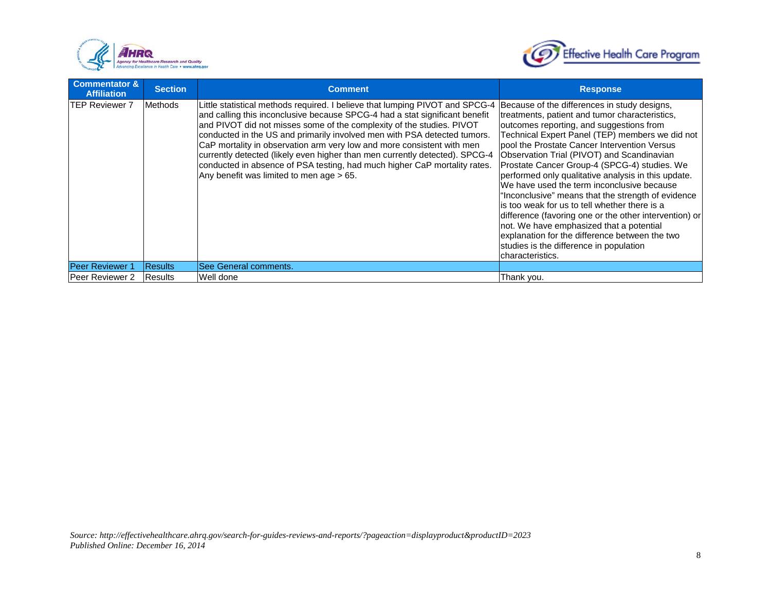



| Commentator &<br><b>Affiliation</b> | <b>Section</b> | <b>Comment</b>                                                                                                                                                                                                                                                                                                                                                                                                                                                                                                                                                                                     | <b>Response</b>                                                                                                                                                                                                                                                                                                                                                                                                                                                                                                                                                                                                                                                                                                                                                                |
|-------------------------------------|----------------|----------------------------------------------------------------------------------------------------------------------------------------------------------------------------------------------------------------------------------------------------------------------------------------------------------------------------------------------------------------------------------------------------------------------------------------------------------------------------------------------------------------------------------------------------------------------------------------------------|--------------------------------------------------------------------------------------------------------------------------------------------------------------------------------------------------------------------------------------------------------------------------------------------------------------------------------------------------------------------------------------------------------------------------------------------------------------------------------------------------------------------------------------------------------------------------------------------------------------------------------------------------------------------------------------------------------------------------------------------------------------------------------|
| <b>ITEP Reviewer 7</b>              | <b>Methods</b> | Little statistical methods required. I believe that lumping PIVOT and SPCG-4<br>and calling this inconclusive because SPCG-4 had a stat significant benefit<br>and PIVOT did not misses some of the complexity of the studies. PIVOT<br>conducted in the US and primarily involved men with PSA detected tumors.<br>CaP mortality in observation arm very low and more consistent with men<br>currently detected (likely even higher than men currently detected). SPCG-4<br>conducted in absence of PSA testing, had much higher CaP mortality rates.<br>Any benefit was limited to men age > 65. | Because of the differences in study designs,<br>treatments, patient and tumor characteristics,<br>outcomes reporting, and suggestions from<br>Technical Expert Panel (TEP) members we did not<br>pool the Prostate Cancer Intervention Versus<br>Observation Trial (PIVOT) and Scandinavian<br>Prostate Cancer Group-4 (SPCG-4) studies. We<br>performed only qualitative analysis in this update.<br>We have used the term inconclusive because<br>"Inconclusive" means that the strength of evidence<br>is too weak for us to tell whether there is a<br>difference (favoring one or the other intervention) or<br>not. We have emphasized that a potential<br>explanation for the difference between the two<br>studies is the difference in population<br>characteristics. |
| <b>Peer Reviewer 1</b>              | <b>Results</b> | <b>ISee General comments.</b>                                                                                                                                                                                                                                                                                                                                                                                                                                                                                                                                                                      |                                                                                                                                                                                                                                                                                                                                                                                                                                                                                                                                                                                                                                                                                                                                                                                |
| Peer Reviewer 2                     | Results        | Well done                                                                                                                                                                                                                                                                                                                                                                                                                                                                                                                                                                                          | Thank you.                                                                                                                                                                                                                                                                                                                                                                                                                                                                                                                                                                                                                                                                                                                                                                     |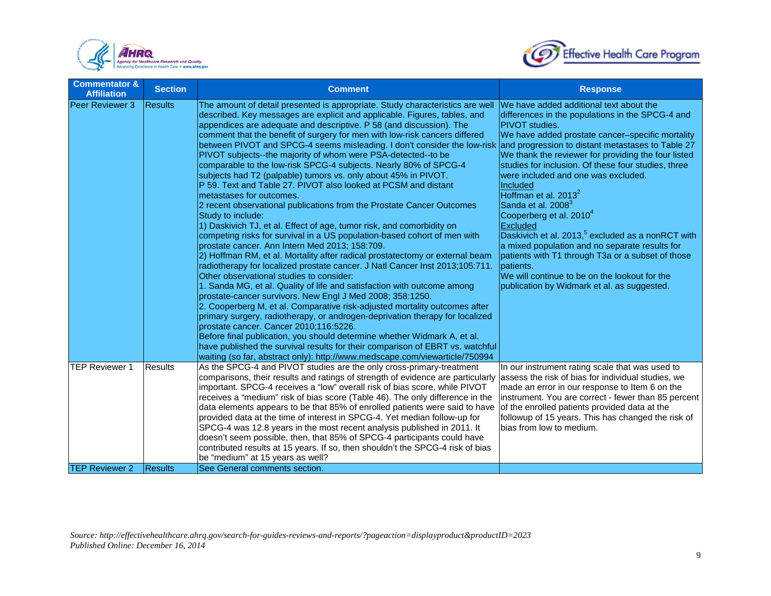



| <b>Commentator &amp;</b><br><b>Affiliation</b> | <b>Section</b> | <b>Comment</b>                                                                                                                                                                                                                                                                                                                                                                                                                                                                                                                                                                                                                                                                                                                                                                                                                                                                                                                                                                                                                                                                                                                                                                                                                                                                                                                                                                                                                                                                                                                                                                                                                                                                                                                                                                                                                                                  | <b>Response</b>                                                                                                                                                                                                                                                                                                                                                                                                                                                                                                                                                                                                                                                                                                                                |
|------------------------------------------------|----------------|-----------------------------------------------------------------------------------------------------------------------------------------------------------------------------------------------------------------------------------------------------------------------------------------------------------------------------------------------------------------------------------------------------------------------------------------------------------------------------------------------------------------------------------------------------------------------------------------------------------------------------------------------------------------------------------------------------------------------------------------------------------------------------------------------------------------------------------------------------------------------------------------------------------------------------------------------------------------------------------------------------------------------------------------------------------------------------------------------------------------------------------------------------------------------------------------------------------------------------------------------------------------------------------------------------------------------------------------------------------------------------------------------------------------------------------------------------------------------------------------------------------------------------------------------------------------------------------------------------------------------------------------------------------------------------------------------------------------------------------------------------------------------------------------------------------------------------------------------------------------|------------------------------------------------------------------------------------------------------------------------------------------------------------------------------------------------------------------------------------------------------------------------------------------------------------------------------------------------------------------------------------------------------------------------------------------------------------------------------------------------------------------------------------------------------------------------------------------------------------------------------------------------------------------------------------------------------------------------------------------------|
| Peer Reviewer 3                                | <b>Results</b> | The amount of detail presented is appropriate. Study characteristics are well<br>described. Key messages are explicit and applicable. Figures, tables, and<br>appendices are adequate and descriptive. P 58 (and discussion). The<br>comment that the benefit of surgery for men with low-risk cancers differed<br>between PIVOT and SPCG-4 seems misleading. I don't consider the low-risk and progression to distant metastases to Table 27<br>PIVOT subjects--the majority of whom were PSA-detected--to be<br>comparable to the low-risk SPCG-4 subjects. Nearly 80% of SPCG-4<br>subjects had T2 (palpable) tumors vs. only about 45% in PIVOT.<br>P 59. Text and Table 27. PIVOT also looked at PCSM and distant<br>metastases for outcomes.<br>2 recent observational publications from the Prostate Cancer Outcomes<br>Study to include:<br>1) Daskivich TJ, et al. Effect of age, tumor risk, and comorbidity on<br>competing risks for survival in a US population-based cohort of men with<br>prostate cancer. Ann Intern Med 2013; 158:709.<br>2) Hoffman RM, et al. Mortality after radical prostatectomy or external beam<br>radiotherapy for localized prostate cancer. J Natl Cancer Inst 2013;105:711.<br>Other observational studies to consider:<br>1. Sanda MG, et al. Quality of life and satisfaction with outcome among<br>prostate-cancer survivors. New Engl J Med 2008; 358:1250.<br>2. Cooperberg M, et al. Comparative risk-adjusted mortality outcomes after<br>primary surgery, radiotherapy, or androgen-deprivation therapy for localized<br>prostate cancer. Cancer 2010;116:5226.<br>Before final publication, you should determine whether Widmark A, et al.<br>have published the survival results for their comparison of EBRT vs. watchful<br>waiting (so far, abstract only): http://www.medscape.com/viewarticle/750994 | We have added additional text about the<br>differences in the populations in the SPCG-4 and<br><b>PIVOT</b> studies.<br>We have added prostate cancer-specific mortality<br>We thank the reviewer for providing the four listed<br>studies for inclusion. Of these four studies, three<br>were included and one was excluded.<br>Included<br>Hoffman et al. $2013^2$<br>Sanda et al. 2008 <sup>3</sup><br>Cooperberg et al. 2010 <sup>4</sup><br>Excluded<br>Daskivich et al. 2013, <sup>5</sup> excluded as a nonRCT with<br>a mixed population and no separate results for<br>patients with T1 through T3a or a subset of those<br>patients.<br>We will continue to be on the lookout for the<br>publication by Widmark et al. as suggested. |
| <b>TEP Reviewer 1</b>                          | <b>Results</b> | As the SPCG-4 and PIVOT studies are the only cross-primary-treatment<br>comparisons, their results and ratings of strength of evidence are particularly<br>important. SPCG-4 receives a "low" overall risk of bias score, while PIVOT<br>receives a "medium" risk of bias score (Table 46). The only difference in the<br>data elements appears to be that 85% of enrolled patients were said to have<br>provided data at the time of interest in SPCG-4. Yet median follow-up for<br>SPCG-4 was 12.8 years in the most recent analysis published in 2011. It<br>doesn't seem possible, then, that 85% of SPCG-4 participants could have<br>contributed results at 15 years. If so, then shouldn't the SPCG-4 risk of bias<br>be "medium" at 15 years as well?                                                                                                                                                                                                                                                                                                                                                                                                                                                                                                                                                                                                                                                                                                                                                                                                                                                                                                                                                                                                                                                                                                  | In our instrument rating scale that was used to<br>assess the risk of bias for individual studies, we<br>made an error in our response to Item 6 on the<br>instrument. You are correct - fewer than 85 percent<br>of the enrolled patients provided data at the<br>followup of 15 years. This has changed the risk of<br>bias from low to medium.                                                                                                                                                                                                                                                                                                                                                                                              |
| <b>TEP Reviewer 2</b>                          | <b>Results</b> | See General comments section.                                                                                                                                                                                                                                                                                                                                                                                                                                                                                                                                                                                                                                                                                                                                                                                                                                                                                                                                                                                                                                                                                                                                                                                                                                                                                                                                                                                                                                                                                                                                                                                                                                                                                                                                                                                                                                   |                                                                                                                                                                                                                                                                                                                                                                                                                                                                                                                                                                                                                                                                                                                                                |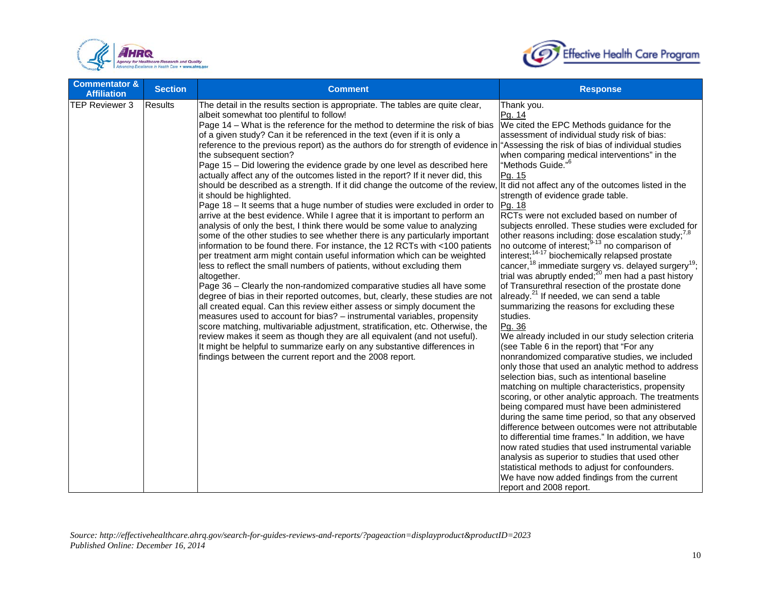



| <b>Commentator &amp;</b><br><b>Affiliation</b> | <b>Section</b> | <b>Comment</b>                                                                                                                                                                                                                                                                                                                                                                                                                                                                                                                                                                                                                                                                                                                                                                                                                                                                                                                                                                                                                                                                                                                                                                                                                                                                                                                                                                                                                                                                                                                                                                                                                                                                                                                                                                                                                                                                                                                                                                                | <b>Response</b>                                                                                                                                                                                                                                                                                                                                                                                                                                                                                                                                                                                                                                                                                                                                                                                                                                                                                                                                                                                                                                                                                                                                                                                                                                                                                                                                                                                                                                                                                                                                                                                                                                                                                                 |
|------------------------------------------------|----------------|-----------------------------------------------------------------------------------------------------------------------------------------------------------------------------------------------------------------------------------------------------------------------------------------------------------------------------------------------------------------------------------------------------------------------------------------------------------------------------------------------------------------------------------------------------------------------------------------------------------------------------------------------------------------------------------------------------------------------------------------------------------------------------------------------------------------------------------------------------------------------------------------------------------------------------------------------------------------------------------------------------------------------------------------------------------------------------------------------------------------------------------------------------------------------------------------------------------------------------------------------------------------------------------------------------------------------------------------------------------------------------------------------------------------------------------------------------------------------------------------------------------------------------------------------------------------------------------------------------------------------------------------------------------------------------------------------------------------------------------------------------------------------------------------------------------------------------------------------------------------------------------------------------------------------------------------------------------------------------------------------|-----------------------------------------------------------------------------------------------------------------------------------------------------------------------------------------------------------------------------------------------------------------------------------------------------------------------------------------------------------------------------------------------------------------------------------------------------------------------------------------------------------------------------------------------------------------------------------------------------------------------------------------------------------------------------------------------------------------------------------------------------------------------------------------------------------------------------------------------------------------------------------------------------------------------------------------------------------------------------------------------------------------------------------------------------------------------------------------------------------------------------------------------------------------------------------------------------------------------------------------------------------------------------------------------------------------------------------------------------------------------------------------------------------------------------------------------------------------------------------------------------------------------------------------------------------------------------------------------------------------------------------------------------------------------------------------------------------------|
| <b>TEP Reviewer 3</b>                          | Results        | The detail in the results section is appropriate. The tables are quite clear,<br>albeit somewhat too plentiful to follow!<br>Page 14 - What is the reference for the method to determine the risk of bias<br>of a given study? Can it be referenced in the text (even if it is only a<br>reference to the previous report) as the authors do for strength of evidence in "Assessing the risk of bias of individual studies<br>the subsequent section?<br>Page 15 - Did lowering the evidence grade by one level as described here<br>actually affect any of the outcomes listed in the report? If it never did, this<br>should be described as a strength. If it did change the outcome of the review, It did not affect any of the outcomes listed in the<br>it should be highlighted.<br>Page 18 - It seems that a huge number of studies were excluded in order to<br>arrive at the best evidence. While I agree that it is important to perform an<br>analysis of only the best, I think there would be some value to analyzing<br>some of the other studies to see whether there is any particularly important<br>information to be found there. For instance, the 12 RCTs with <100 patients<br>per treatment arm might contain useful information which can be weighted<br>less to reflect the small numbers of patients, without excluding them<br>altogether.<br>Page 36 - Clearly the non-randomized comparative studies all have some<br>degree of bias in their reported outcomes, but, clearly, these studies are not<br>all created equal. Can this review either assess or simply document the<br>measures used to account for bias? – instrumental variables, propensity<br>score matching, multivariable adjustment, stratification, etc. Otherwise, the<br>review makes it seem as though they are all equivalent (and not useful).<br>It might be helpful to summarize early on any substantive differences in<br>findings between the current report and the 2008 report. | Thank you.<br>Pg. 14<br>We cited the EPC Methods guidance for the<br>assessment of individual study risk of bias:<br>when comparing medical interventions" in the<br>"Methods Guide." <sup>6</sup><br>Pg. 15<br>strength of evidence grade table.<br>Pg. 18<br>RCTs were not excluded based on number of<br>subjects enrolled. These studies were excluded for<br>other reasons including: dose escalation study; $^{7,8}$<br>no outcome of interest; <sup>9-13</sup> no comparison of<br>interest; <sup>14-17</sup> biochemically relapsed prostate<br>cancer, <sup>18</sup> immediate surgery vs. delayed surgery <sup>19</sup> ;<br>trial was abruptly ended; <sup>20</sup> men had a past history<br>of Transurethral resection of the prostate done<br>already. <sup>21</sup> If needed, we can send a table<br>summarizing the reasons for excluding these<br>studies.<br>Pg. 36<br>We already included in our study selection criteria<br>(see Table 6 in the report) that "For any<br>nonrandomized comparative studies, we included<br>only those that used an analytic method to address<br>selection bias, such as intentional baseline<br>matching on multiple characteristics, propensity<br>scoring, or other analytic approach. The treatments<br>being compared must have been administered<br>during the same time period, so that any observed<br>difference between outcomes were not attributable<br>to differential time frames." In addition, we have<br>now rated studies that used instrumental variable<br>analysis as superior to studies that used other<br>statistical methods to adjust for confounders.<br>We have now added findings from the current<br>report and 2008 report. |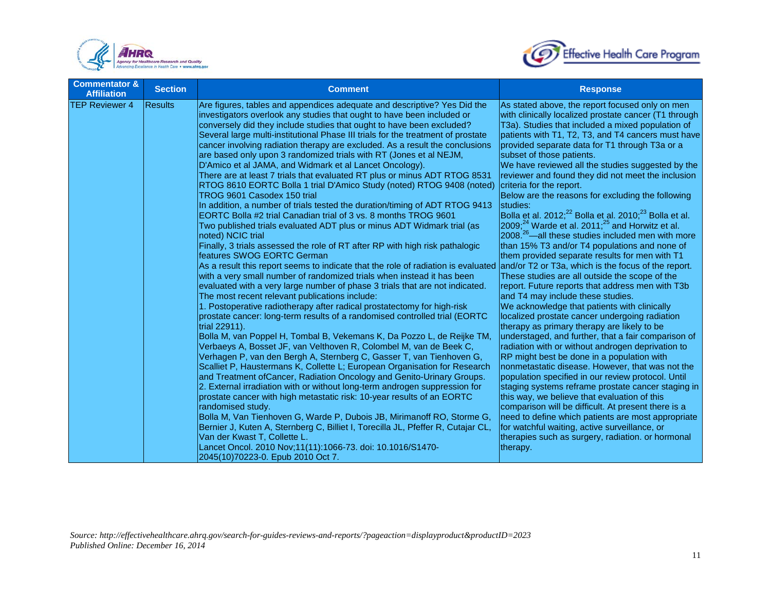



| <b>Commentator &amp;</b><br><b>Affiliation</b> | <b>Section</b> | <b>Comment</b>                                                                                                                                                                                                                                                                                                                                                                                                                                                                                                                                                                                                                                                                                                                                                                                                                                                                                                                                                                                                                                                                                                                                                                                                                                                                                                                                                                                                                                                                                                                                                                                                                                                                                                                                                                                                                                                                                                                                                                                                                                                                                                                                                                                                                                                                                                                                                                                                                                                                   | <b>Response</b>                                                                                                                                                                                                                                                                                                                                                                                                                                                                                                                                                                                                                                                                                                                                                                                                                                                                                                                                                                                                                                                                                                                                                                                                                                                                                                                                                                                                                                                                                                                                                                                                                                                                                                                                   |
|------------------------------------------------|----------------|----------------------------------------------------------------------------------------------------------------------------------------------------------------------------------------------------------------------------------------------------------------------------------------------------------------------------------------------------------------------------------------------------------------------------------------------------------------------------------------------------------------------------------------------------------------------------------------------------------------------------------------------------------------------------------------------------------------------------------------------------------------------------------------------------------------------------------------------------------------------------------------------------------------------------------------------------------------------------------------------------------------------------------------------------------------------------------------------------------------------------------------------------------------------------------------------------------------------------------------------------------------------------------------------------------------------------------------------------------------------------------------------------------------------------------------------------------------------------------------------------------------------------------------------------------------------------------------------------------------------------------------------------------------------------------------------------------------------------------------------------------------------------------------------------------------------------------------------------------------------------------------------------------------------------------------------------------------------------------------------------------------------------------------------------------------------------------------------------------------------------------------------------------------------------------------------------------------------------------------------------------------------------------------------------------------------------------------------------------------------------------------------------------------------------------------------------------------------------------|---------------------------------------------------------------------------------------------------------------------------------------------------------------------------------------------------------------------------------------------------------------------------------------------------------------------------------------------------------------------------------------------------------------------------------------------------------------------------------------------------------------------------------------------------------------------------------------------------------------------------------------------------------------------------------------------------------------------------------------------------------------------------------------------------------------------------------------------------------------------------------------------------------------------------------------------------------------------------------------------------------------------------------------------------------------------------------------------------------------------------------------------------------------------------------------------------------------------------------------------------------------------------------------------------------------------------------------------------------------------------------------------------------------------------------------------------------------------------------------------------------------------------------------------------------------------------------------------------------------------------------------------------------------------------------------------------------------------------------------------------|
| <b>TEP Reviewer 4</b>                          | <b>Results</b> | Are figures, tables and appendices adequate and descriptive? Yes Did the<br>investigators overlook any studies that ought to have been included or<br>conversely did they include studies that ought to have been excluded?<br>Several large multi-institutional Phase III trials for the treatment of prostate<br>cancer involving radiation therapy are excluded. As a result the conclusions<br>are based only upon 3 randomized trials with RT (Jones et al NEJM,<br>D'Amico et al JAMA, and Widmark et al Lancet Oncology).<br>There are at least 7 trials that evaluated RT plus or minus ADT RTOG 8531<br>RTOG 8610 EORTC Bolla 1 trial D'Amico Study (noted) RTOG 9408 (noted)<br>TROG 9601 Casodex 150 trial<br>In addition, a number of trials tested the duration/timing of ADT RTOG 9413<br>EORTC Bolla #2 trial Canadian trial of 3 vs. 8 months TROG 9601<br>Two published trials evaluated ADT plus or minus ADT Widmark trial (as<br>noted) NCIC trial<br>Finally, 3 trials assessed the role of RT after RP with high risk pathalogic<br>features SWOG EORTC German<br>As a result this report seems to indicate that the role of radiation is evaluated and/or T2 or T3a, which is the focus of the report.<br>with a very small number of randomized trials when instead it has been<br>evaluated with a very large number of phase 3 trials that are not indicated.<br>The most recent relevant publications include:<br>1. Postoperative radiotherapy after radical prostatectomy for high-risk<br>prostate cancer: long-term results of a randomised controlled trial (EORTC<br>trial 22911).<br>Bolla M, van Poppel H, Tombal B, Vekemans K, Da Pozzo L, de Reijke TM,<br>Verbaeys A, Bosset JF, van Velthoven R, Colombel M, van de Beek C,<br>Verhagen P, van den Bergh A, Sternberg C, Gasser T, van Tienhoven G,<br>Scalliet P, Haustermans K, Collette L; European Organisation for Research<br>and Treatment of Cancer, Radiation Oncology and Genito-Urinary Groups.<br>2. External irradiation with or without long-term androgen suppression for<br>prostate cancer with high metastatic risk: 10-year results of an EORTC<br>randomised study.<br>Bolla M, Van Tienhoven G, Warde P, Dubois JB, Mirimanoff RO, Storme G,<br>Bernier J, Kuten A, Sternberg C, Billiet I, Torecilla JL, Pfeffer R, Cutajar CL,<br>Van der Kwast T, Collette L.<br>Lancet Oncol. 2010 Nov;11(11):1066-73. doi: 10.1016/S1470-<br>2045(10)70223-0. Epub 2010 Oct 7. | As stated above, the report focused only on men<br>with clinically localized prostate cancer (T1 through<br>T3a). Studies that included a mixed population of<br>patients with T1, T2, T3, and T4 cancers must have<br>provided separate data for T1 through T3a or a<br>subset of those patients.<br>We have reviewed all the studies suggested by the<br>reviewer and found they did not meet the inclusion<br>criteria for the report.<br>Below are the reasons for excluding the following<br>studies:<br>Bolla et al. 2012; <sup>22</sup> Bolla et al. 2010; <sup>23</sup> Bolla et al.<br> 2009; <sup>24</sup> Warde et al. 2011; <sup>25</sup> and Horwitz et al.<br>2008. <sup>26</sup> —all these studies included men with more<br>than 15% T3 and/or T4 populations and none of<br>them provided separate results for men with T1<br>These studies are all outside the scope of the<br>report. Future reports that address men with T3b<br>and T4 may include these studies.<br>We acknowledge that patients with clinically<br>localized prostate cancer undergoing radiation<br>therapy as primary therapy are likely to be<br>understaged, and further, that a fair comparison of<br>radiation with or without androgen deprivation to<br>RP might best be done in a population with<br>nonmetastatic disease. However, that was not the<br>population specified in our review protocol. Until<br>staging systems reframe prostate cancer staging in<br>this way, we believe that evaluation of this<br>comparison will be difficult. At present there is a<br>need to define which patients are most appropriate<br>for watchful waiting, active surveillance, or<br>therapies such as surgery, radiation. or hormonal<br>therapy. |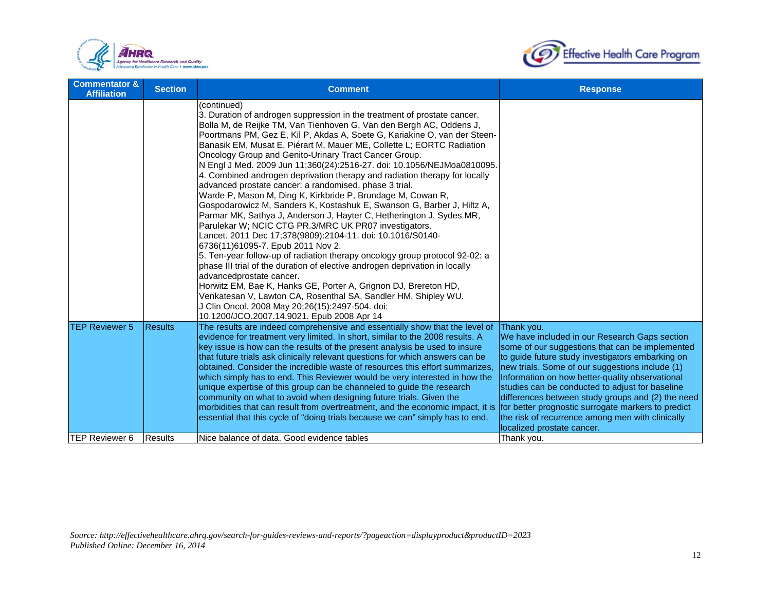



| <b>Commentator &amp;</b><br><b>Affiliation</b> | <b>Section</b> | <b>Comment</b>                                                                                                                                                                                                                                                                                                                                                                                                                                                                                                                                                                                                                                                                                                                                                                                                                                                                                                                                                                                                                                                                                                                                                                                                                                                                                                                                                                                               | <b>Response</b>                                                                                                                                                                                                                                                                                                                                                                                                                                                    |
|------------------------------------------------|----------------|--------------------------------------------------------------------------------------------------------------------------------------------------------------------------------------------------------------------------------------------------------------------------------------------------------------------------------------------------------------------------------------------------------------------------------------------------------------------------------------------------------------------------------------------------------------------------------------------------------------------------------------------------------------------------------------------------------------------------------------------------------------------------------------------------------------------------------------------------------------------------------------------------------------------------------------------------------------------------------------------------------------------------------------------------------------------------------------------------------------------------------------------------------------------------------------------------------------------------------------------------------------------------------------------------------------------------------------------------------------------------------------------------------------|--------------------------------------------------------------------------------------------------------------------------------------------------------------------------------------------------------------------------------------------------------------------------------------------------------------------------------------------------------------------------------------------------------------------------------------------------------------------|
|                                                |                | (continued)<br>3. Duration of androgen suppression in the treatment of prostate cancer.<br>Bolla M, de Reijke TM, Van Tienhoven G, Van den Bergh AC, Oddens J,<br>Poortmans PM, Gez E, Kil P, Akdas A, Soete G, Kariakine O, van der Steen-<br>Banasik EM, Musat E, Piérart M, Mauer ME, Collette L; EORTC Radiation<br>Oncology Group and Genito-Urinary Tract Cancer Group.<br>N Engl J Med. 2009 Jun 11;360(24):2516-27. doi: 10.1056/NEJMoa0810095.<br>4. Combined androgen deprivation therapy and radiation therapy for locally<br>advanced prostate cancer: a randomised, phase 3 trial.<br>Warde P, Mason M, Ding K, Kirkbride P, Brundage M, Cowan R,<br>Gospodarowicz M, Sanders K, Kostashuk E, Swanson G, Barber J, Hiltz A,<br>Parmar MK, Sathya J, Anderson J, Hayter C, Hetherington J, Sydes MR,<br>Parulekar W; NCIC CTG PR.3/MRC UK PR07 investigators.<br>Lancet. 2011 Dec 17;378(9809):2104-11. doi: 10.1016/S0140-<br>6736(11)61095-7. Epub 2011 Nov 2.<br>5. Ten-year follow-up of radiation therapy oncology group protocol 92-02: a<br>phase III trial of the duration of elective androgen deprivation in locally<br>advancedprostate cancer.<br>Horwitz EM, Bae K, Hanks GE, Porter A, Grignon DJ, Brereton HD,<br>Venkatesan V, Lawton CA, Rosenthal SA, Sandler HM, Shipley WU.<br>J Clin Oncol. 2008 May 20;26(15):2497-504. doi:<br>10.1200/JCO.2007.14.9021. Epub 2008 Apr 14 |                                                                                                                                                                                                                                                                                                                                                                                                                                                                    |
| <b>TEP Reviewer 5</b>                          | <b>Results</b> | The results are indeed comprehensive and essentially show that the level of<br>evidence for treatment very limited. In short, similar to the 2008 results. A<br>key issue is how can the results of the present analysis be used to insure<br>that future trials ask clinically relevant questions for which answers can be<br>obtained. Consider the incredible waste of resources this effort summarizes.<br>which simply has to end. This Reviewer would be very interested in how the<br>unique expertise of this group can be channeled to guide the research<br>community on what to avoid when designing future trials. Given the<br>morbidities that can result from overtreatment, and the economic impact, it is for better prognostic surrogate markers to predict<br>essential that this cycle of "doing trials because we can" simply has to end.                                                                                                                                                                                                                                                                                                                                                                                                                                                                                                                                               | Thank you.<br>We have included in our Research Gaps section<br>some of our suggestions that can be implemented<br>to guide future study investigators embarking on<br>new trials. Some of our suggestions include (1)<br>Information on how better-quality observational<br>studies can be conducted to adjust for baseline<br>differences between study groups and (2) the need<br>the risk of recurrence among men with clinically<br>localized prostate cancer. |
| TEP Reviewer 6                                 | <b>Results</b> | Nice balance of data. Good evidence tables                                                                                                                                                                                                                                                                                                                                                                                                                                                                                                                                                                                                                                                                                                                                                                                                                                                                                                                                                                                                                                                                                                                                                                                                                                                                                                                                                                   | Thank you.                                                                                                                                                                                                                                                                                                                                                                                                                                                         |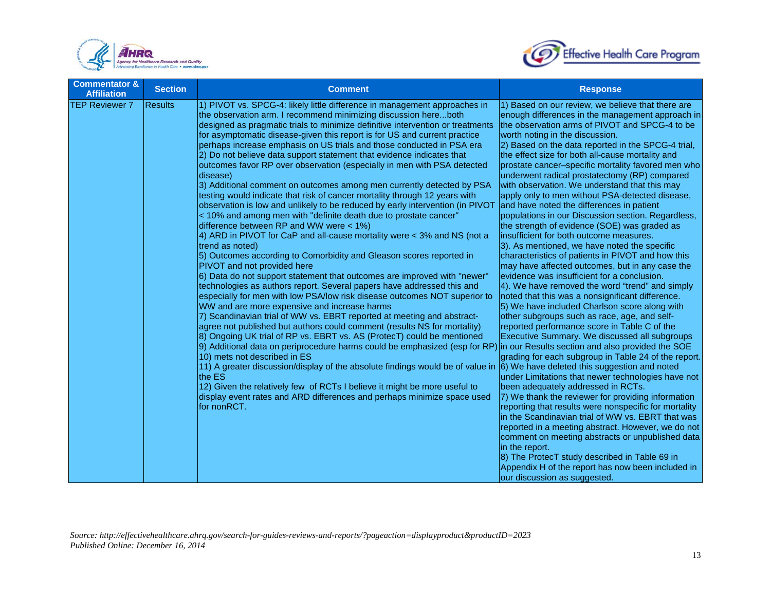



| <b>Commentator &amp;</b><br><b>Affiliation</b> | <b>Section</b> | <b>Comment</b>                                                                                                                                                                                                                                                                                                                                                                                                                                                                                                                                                                                                                                                                                                                                                                                                                                                                                                                                                                                                                                                                                                                                                                                                                                                                                                                                                                                                                                                                                                                                                                                                                                                                                                                                                                                                                                                                                                                                                                                                                                                         | <b>Response</b>                                                                                                                                                                                                                                                                                                                                                                                                                                                                                                                                                                                                                                                                                                                                                                                                                                                                                                                                                                                                                                                                                                                                                                                                                                                                                                                                                                                                                                                                                                                                                                                                                                                                                                                                                                                                                                                         |
|------------------------------------------------|----------------|------------------------------------------------------------------------------------------------------------------------------------------------------------------------------------------------------------------------------------------------------------------------------------------------------------------------------------------------------------------------------------------------------------------------------------------------------------------------------------------------------------------------------------------------------------------------------------------------------------------------------------------------------------------------------------------------------------------------------------------------------------------------------------------------------------------------------------------------------------------------------------------------------------------------------------------------------------------------------------------------------------------------------------------------------------------------------------------------------------------------------------------------------------------------------------------------------------------------------------------------------------------------------------------------------------------------------------------------------------------------------------------------------------------------------------------------------------------------------------------------------------------------------------------------------------------------------------------------------------------------------------------------------------------------------------------------------------------------------------------------------------------------------------------------------------------------------------------------------------------------------------------------------------------------------------------------------------------------------------------------------------------------------------------------------------------------|-------------------------------------------------------------------------------------------------------------------------------------------------------------------------------------------------------------------------------------------------------------------------------------------------------------------------------------------------------------------------------------------------------------------------------------------------------------------------------------------------------------------------------------------------------------------------------------------------------------------------------------------------------------------------------------------------------------------------------------------------------------------------------------------------------------------------------------------------------------------------------------------------------------------------------------------------------------------------------------------------------------------------------------------------------------------------------------------------------------------------------------------------------------------------------------------------------------------------------------------------------------------------------------------------------------------------------------------------------------------------------------------------------------------------------------------------------------------------------------------------------------------------------------------------------------------------------------------------------------------------------------------------------------------------------------------------------------------------------------------------------------------------------------------------------------------------------------------------------------------------|
| <b>TEP Reviewer 7</b>                          | <b>Results</b> | 1) PIVOT vs. SPCG-4: likely little difference in management approaches in<br>the observation arm. I recommend minimizing discussion hereboth<br>designed as pragmatic trials to minimize definitive intervention or treatments<br>for asymptomatic disease-given this report is for US and current practice<br>perhaps increase emphasis on US trials and those conducted in PSA era<br>2) Do not believe data support statement that evidence indicates that<br>outcomes favor RP over observation (especially in men with PSA detected<br>disease)<br>3) Additional comment on outcomes among men currently detected by PSA<br>testing would indicate that risk of cancer mortality through 12 years with<br>observation is low and unlikely to be reduced by early intervention (in PIVOT<br>< 10% and among men with "definite death due to prostate cancer"<br>difference between RP and WW were $<$ 1%)<br>4) ARD in PIVOT for CaP and all-cause mortality were < 3% and NS (not a<br>trend as noted)<br>5) Outcomes according to Comorbidity and Gleason scores reported in<br>PIVOT and not provided here<br>6) Data do not support statement that outcomes are improved with "newer"<br>technologies as authors report. Several papers have addressed this and<br>especially for men with low PSA/low risk disease outcomes NOT superior to<br>WW and are more expensive and increase harms<br>7) Scandinavian trial of WW vs. EBRT reported at meeting and abstract-<br>agree not published but authors could comment (results NS for mortality)<br>8) Ongoing UK trial of RP vs. EBRT vs. AS (ProtecT) could be mentioned<br>9) Additional data on periprocedure harms could be emphasized (esp for RP) in our Results section and also provided the SOE<br>10) mets not described in ES<br>11) A greater discussion/display of the absolute findings would be of value in<br>the ES<br>12) Given the relatively few of RCTs I believe it might be more useful to<br>display event rates and ARD differences and perhaps minimize space used<br>for nonRCT. | 1) Based on our review, we believe that there are<br>enough differences in the management approach in<br>the observation arms of PIVOT and SPCG-4 to be<br>worth noting in the discussion.<br>2) Based on the data reported in the SPCG-4 trial,<br>the effect size for both all-cause mortality and<br>prostate cancer-specific mortality favored men who<br>underwent radical prostatectomy (RP) compared<br>with observation. We understand that this may<br>apply only to men without PSA-detected disease,<br>and have noted the differences in patient<br>populations in our Discussion section. Regardless,<br>the strength of evidence (SOE) was graded as<br>insufficient for both outcome measures.<br>3). As mentioned, we have noted the specific<br>characteristics of patients in PIVOT and how this<br>may have affected outcomes, but in any case the<br>evidence was insufficient for a conclusion.<br>4). We have removed the word "trend" and simply<br>noted that this was a nonsignificant difference.<br>5) We have included Charlson score along with<br>other subgroups such as race, age, and self-<br>reported performance score in Table C of the<br>Executive Summary. We discussed all subgroups<br>grading for each subgroup in Table 24 of the report.<br>6) We have deleted this suggestion and noted<br>under Limitations that newer technologies have not<br>been adequately addressed in RCTs.<br>7) We thank the reviewer for providing information<br>reporting that results were nonspecific for mortality<br>in the Scandinavian trial of WW vs. EBRT that was<br>reported in a meeting abstract. However, we do not<br>comment on meeting abstracts or unpublished data<br>in the report.<br>8) The ProtecT study described in Table 69 in<br>Appendix H of the report has now been included in<br>our discussion as suggested. |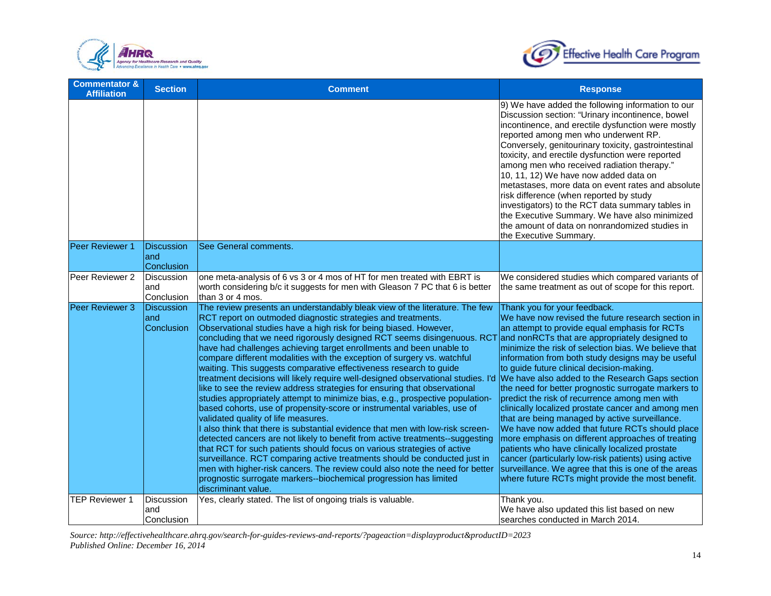



| <b>Commentator &amp;</b><br><b>Affiliation</b> | <b>Section</b>                          | <b>Comment</b>                                                                                                                                                                                                                                                                                                                                                                                                                                                                                                                                                                                                                                                                                                                                                                                                                                                                                                                                                                                                                                                                                                                                                                                                                                                                                                                                                                                  | <b>Response</b>                                                                                                                                                                                                                                                                                                                                                                                                                                                                                                                                                                                                                                                                                                                                                                                                                                                                                                                                    |
|------------------------------------------------|-----------------------------------------|-------------------------------------------------------------------------------------------------------------------------------------------------------------------------------------------------------------------------------------------------------------------------------------------------------------------------------------------------------------------------------------------------------------------------------------------------------------------------------------------------------------------------------------------------------------------------------------------------------------------------------------------------------------------------------------------------------------------------------------------------------------------------------------------------------------------------------------------------------------------------------------------------------------------------------------------------------------------------------------------------------------------------------------------------------------------------------------------------------------------------------------------------------------------------------------------------------------------------------------------------------------------------------------------------------------------------------------------------------------------------------------------------|----------------------------------------------------------------------------------------------------------------------------------------------------------------------------------------------------------------------------------------------------------------------------------------------------------------------------------------------------------------------------------------------------------------------------------------------------------------------------------------------------------------------------------------------------------------------------------------------------------------------------------------------------------------------------------------------------------------------------------------------------------------------------------------------------------------------------------------------------------------------------------------------------------------------------------------------------|
|                                                |                                         |                                                                                                                                                                                                                                                                                                                                                                                                                                                                                                                                                                                                                                                                                                                                                                                                                                                                                                                                                                                                                                                                                                                                                                                                                                                                                                                                                                                                 | 9) We have added the following information to our<br>Discussion section: "Urinary incontinence, bowel<br>incontinence, and erectile dysfunction were mostly<br>reported among men who underwent RP.<br>Conversely, genitourinary toxicity, gastrointestinal<br>toxicity, and erectile dysfunction were reported<br>among men who received radiation therapy."<br>10, 11, 12) We have now added data on<br>metastases, more data on event rates and absolute<br>risk difference (when reported by study<br>investigators) to the RCT data summary tables in<br>the Executive Summary. We have also minimized<br>the amount of data on nonrandomized studies in<br>the Executive Summary.                                                                                                                                                                                                                                                            |
| Peer Reviewer 1                                | <b>Discussion</b><br>land<br>Conclusion | See General comments.                                                                                                                                                                                                                                                                                                                                                                                                                                                                                                                                                                                                                                                                                                                                                                                                                                                                                                                                                                                                                                                                                                                                                                                                                                                                                                                                                                           |                                                                                                                                                                                                                                                                                                                                                                                                                                                                                                                                                                                                                                                                                                                                                                                                                                                                                                                                                    |
| Peer Reviewer 2                                | Discussion<br>and<br>Conclusion         | one meta-analysis of 6 vs 3 or 4 mos of HT for men treated with EBRT is<br>worth considering b/c it suggests for men with Gleason 7 PC that 6 is better<br>than 3 or 4 mos.                                                                                                                                                                                                                                                                                                                                                                                                                                                                                                                                                                                                                                                                                                                                                                                                                                                                                                                                                                                                                                                                                                                                                                                                                     | We considered studies which compared variants of<br>the same treatment as out of scope for this report.                                                                                                                                                                                                                                                                                                                                                                                                                                                                                                                                                                                                                                                                                                                                                                                                                                            |
| Peer Reviewer 3                                | Discussion<br>land<br>Conclusion        | The review presents an understandably bleak view of the literature. The few<br>RCT report on outmoded diagnostic strategies and treatments.<br>Observational studies have a high risk for being biased. However,<br>concluding that we need rigorously designed RCT seems disingenuous. RCT<br>have had challenges achieving target enrollments and been unable to<br>compare different modalities with the exception of surgery vs. watchful<br>waiting. This suggests comparative effectiveness research to guide<br>treatment decisions will likely require well-designed observational studies. I'd<br>like to see the review address strategies for ensuring that observational<br>studies appropriately attempt to minimize bias, e.g., prospective population-<br>based cohorts, use of propensity-score or instrumental variables, use of<br>validated quality of life measures.<br>I also think that there is substantial evidence that men with low-risk screen-<br>detected cancers are not likely to benefit from active treatments--suggesting<br>that RCT for such patients should focus on various strategies of active<br>surveillance. RCT comparing active treatments should be conducted just in<br>men with higher-risk cancers. The review could also note the need for better<br>prognostic surrogate markers--biochemical progression has limited<br>discriminant value. | Thank you for your feedback.<br>We have now revised the future research section in<br>an attempt to provide equal emphasis for RCTs<br>and nonRCTs that are appropriately designed to<br>minimize the risk of selection bias. We believe that<br>information from both study designs may be useful<br>to guide future clinical decision-making.<br>We have also added to the Research Gaps section<br>the need for better prognostic surrogate markers to<br>predict the risk of recurrence among men with<br>clinically localized prostate cancer and among men<br>that are being managed by active surveillance.<br>We have now added that future RCTs should place<br>more emphasis on different approaches of treating<br>patients who have clinically localized prostate<br>cancer (particularly low-risk patients) using active<br>surveillance. We agree that this is one of the areas<br>where future RCTs might provide the most benefit. |
| <b>TEP Reviewer 1</b>                          | Discussion<br>and<br>Conclusion         | Yes, clearly stated. The list of ongoing trials is valuable.                                                                                                                                                                                                                                                                                                                                                                                                                                                                                                                                                                                                                                                                                                                                                                                                                                                                                                                                                                                                                                                                                                                                                                                                                                                                                                                                    | Thank you.<br>We have also updated this list based on new<br>searches conducted in March 2014.                                                                                                                                                                                                                                                                                                                                                                                                                                                                                                                                                                                                                                                                                                                                                                                                                                                     |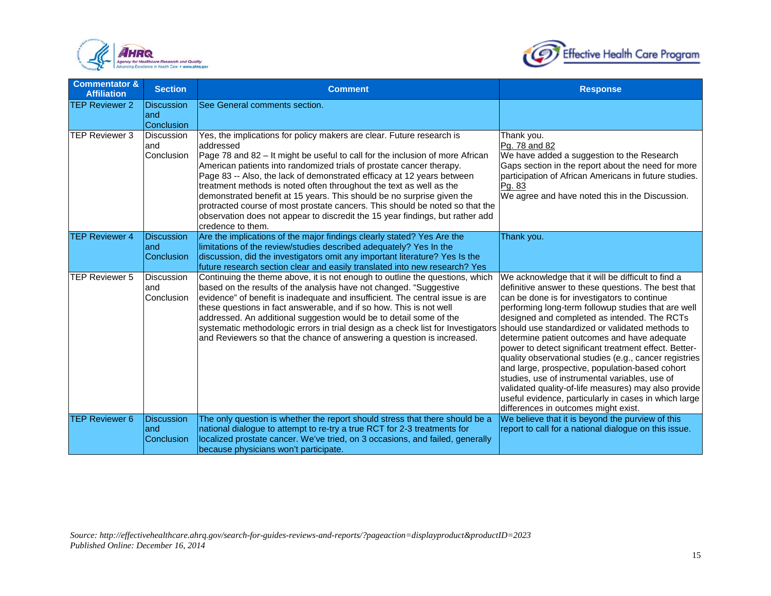



| <b>Commentator &amp;</b><br><b>Affiliation</b> | <b>Section</b>                                 | <b>Comment</b>                                                                                                                                                                                                                                                                                                                                                                                                                                                                                                                                                                                                                                               | <b>Response</b>                                                                                                                                                                                                                                                                                                                                                                                                                                                                                                                                                                                                                                                                                   |
|------------------------------------------------|------------------------------------------------|--------------------------------------------------------------------------------------------------------------------------------------------------------------------------------------------------------------------------------------------------------------------------------------------------------------------------------------------------------------------------------------------------------------------------------------------------------------------------------------------------------------------------------------------------------------------------------------------------------------------------------------------------------------|---------------------------------------------------------------------------------------------------------------------------------------------------------------------------------------------------------------------------------------------------------------------------------------------------------------------------------------------------------------------------------------------------------------------------------------------------------------------------------------------------------------------------------------------------------------------------------------------------------------------------------------------------------------------------------------------------|
| <b>TEP Reviewer 2</b>                          | <b>Discussion</b><br>land<br><b>Conclusion</b> | See General comments section.                                                                                                                                                                                                                                                                                                                                                                                                                                                                                                                                                                                                                                |                                                                                                                                                                                                                                                                                                                                                                                                                                                                                                                                                                                                                                                                                                   |
| <b>TEP Reviewer 3</b>                          | <b>Discussion</b><br>land<br>Conclusion        | Yes, the implications for policy makers are clear. Future research is<br>addressed<br>Page 78 and 82 – It might be useful to call for the inclusion of more African<br>American patients into randomized trials of prostate cancer therapy.<br>Page 83 -- Also, the lack of demonstrated efficacy at 12 years between<br>treatment methods is noted often throughout the text as well as the<br>demonstrated benefit at 15 years. This should be no surprise given the<br>protracted course of most prostate cancers. This should be noted so that the<br>observation does not appear to discredit the 15 year findings, but rather add<br>credence to them. | Thank you.<br>Pg. 78 and 82<br>We have added a suggestion to the Research<br>Gaps section in the report about the need for more<br>participation of African Americans in future studies.<br>Pg. 83<br>We agree and have noted this in the Discussion.                                                                                                                                                                                                                                                                                                                                                                                                                                             |
| <b>TEP Reviewer 4</b>                          | <b>Discussion</b><br>land<br>Conclusion        | Are the implications of the major findings clearly stated? Yes Are the<br>limitations of the review/studies described adequately? Yes In the<br>discussion, did the investigators omit any important literature? Yes Is the<br>future research section clear and easily translated into new research? Yes                                                                                                                                                                                                                                                                                                                                                    | Thank you.                                                                                                                                                                                                                                                                                                                                                                                                                                                                                                                                                                                                                                                                                        |
| <b>TEP Reviewer 5</b>                          | Discussion<br>land<br>Conclusion               | Continuing the theme above, it is not enough to outline the questions, which<br>based on the results of the analysis have not changed. "Suggestive<br>evidence" of benefit is inadequate and insufficient. The central issue is are<br>these questions in fact answerable, and if so how. This is not well<br>addressed. An additional suggestion would be to detail some of the<br>systematic methodologic errors in trial design as a check list for Investigators should use standardized or validated methods to<br>and Reviewers so that the chance of answering a question is increased.                                                               | We acknowledge that it will be difficult to find a<br>definitive answer to these questions. The best that<br>can be done is for investigators to continue<br>performing long-term followup studies that are well<br>designed and completed as intended. The RCTs<br>determine patient outcomes and have adequate<br>power to detect significant treatment effect. Better-<br>quality observational studies (e.g., cancer registries<br>and large, prospective, population-based cohort<br>studies, use of instrumental variables, use of<br>validated quality-of-life measures) may also provide<br>useful evidence, particularly in cases in which large<br>differences in outcomes might exist. |
| <b>TEP Reviewer 6</b>                          | <b>Discussion</b><br>land<br>Conclusion        | The only question is whether the report should stress that there should be a<br>national dialogue to attempt to re-try a true RCT for 2-3 treatments for<br>localized prostate cancer. We've tried, on 3 occasions, and failed, generally<br>because physicians won't participate.                                                                                                                                                                                                                                                                                                                                                                           | We believe that it is beyond the purview of this<br>report to call for a national dialogue on this issue.                                                                                                                                                                                                                                                                                                                                                                                                                                                                                                                                                                                         |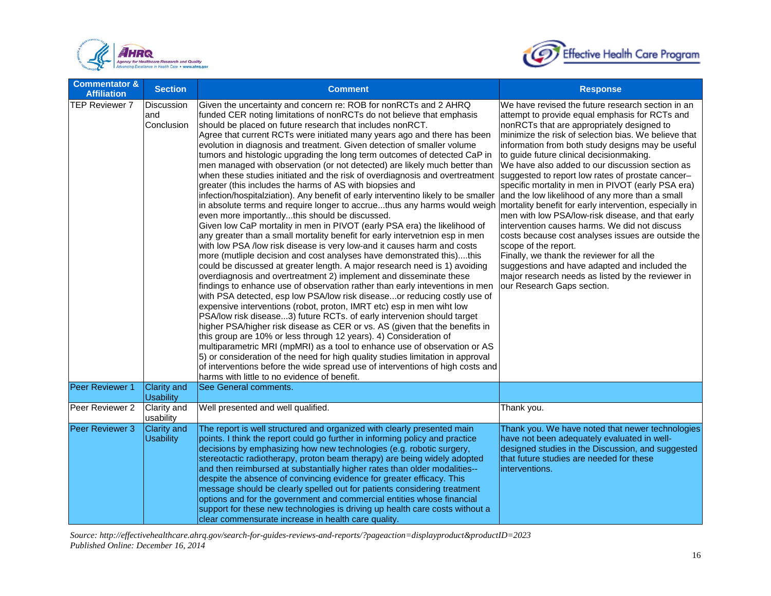



| <b>Commentator &amp;</b><br><b>Affiliation</b> | <b>Section</b>                           | <b>Comment</b>                                                                                                                                                                                                                                                                                                                                                                                                                                                                                                                                                                                                                                                                                                                                                                                                                                                                                                                                                                                                                                                                                                                                                                                                                                                                                                                                                                                                                                                                                                                                                                                                                                                                                                                                                                                                                                                                                                                                                                                                                                                                                                                     | <b>Response</b>                                                                                                                                                                                                                                                                                                                                                                                                                                                                                                                                                                                                                                                                                                                                                                                                                                                                                                                                              |
|------------------------------------------------|------------------------------------------|------------------------------------------------------------------------------------------------------------------------------------------------------------------------------------------------------------------------------------------------------------------------------------------------------------------------------------------------------------------------------------------------------------------------------------------------------------------------------------------------------------------------------------------------------------------------------------------------------------------------------------------------------------------------------------------------------------------------------------------------------------------------------------------------------------------------------------------------------------------------------------------------------------------------------------------------------------------------------------------------------------------------------------------------------------------------------------------------------------------------------------------------------------------------------------------------------------------------------------------------------------------------------------------------------------------------------------------------------------------------------------------------------------------------------------------------------------------------------------------------------------------------------------------------------------------------------------------------------------------------------------------------------------------------------------------------------------------------------------------------------------------------------------------------------------------------------------------------------------------------------------------------------------------------------------------------------------------------------------------------------------------------------------------------------------------------------------------------------------------------------------|--------------------------------------------------------------------------------------------------------------------------------------------------------------------------------------------------------------------------------------------------------------------------------------------------------------------------------------------------------------------------------------------------------------------------------------------------------------------------------------------------------------------------------------------------------------------------------------------------------------------------------------------------------------------------------------------------------------------------------------------------------------------------------------------------------------------------------------------------------------------------------------------------------------------------------------------------------------|
| <b>TEP Reviewer 7</b>                          | <b>IDiscussion</b><br>land<br>Conclusion | Given the uncertainty and concern re: ROB for nonRCTs and 2 AHRQ<br>funded CER noting limitations of nonRCTs do not believe that emphasis<br>should be placed on future research that includes nonRCT.<br>Agree that current RCTs were initiated many years ago and there has been<br>evolution in diagnosis and treatment. Given detection of smaller volume<br>tumors and histologic upgrading the long term outcomes of detected CaP in<br>men managed with observation (or not detected) are likely much better than<br>when these studies initiated and the risk of overdiagnosis and overtreatment<br>greater (this includes the harms of AS with biopsies and<br>infection/hospitalziation). Any benefit of early interventino likely to be smaller<br>in absolute terms and require longer to accruethus any harms would weigh<br>even more importantlythis should be discussed.<br>Given low CaP mortality in men in PIVOT (early PSA era) the likelihood of<br>any greater than a small mortality benefit for early intervetnion esp in men<br>with low PSA /low risk disease is very low-and it causes harm and costs<br>more (mutliple decision and cost analyses have demonstrated this)this<br>could be discussed at greater length. A major research need is 1) avoiding<br>overdiagnosis and overtreatment 2) implement and disseminate these<br>findings to enhance use of observation rather than early inteventions in men<br>with PSA detected, esp low PSA/low risk diseaseor reducing costly use of<br>expensive interventions (robot, proton, IMRT etc) esp in men wiht low<br>PSA/low risk disease3) future RCTs. of early intervenion should target<br>higher PSA/higher risk disease as CER or vs. AS (given that the benefits in<br>this group are 10% or less through 12 years). 4) Consideration of<br>multiparametric MRI (mpMRI) as a tool to enhance use of observation or AS<br>5) or consideration of the need for high quality studies limitation in approval<br>of interventions before the wide spread use of interventions of high costs and<br>harms with little to no evidence of benefit. | We have revised the future research section in an<br>attempt to provide equal emphasis for RCTs and<br>nonRCTs that are appropriately designed to<br>minimize the risk of selection bias. We believe that<br>information from both study designs may be useful<br>to guide future clinical decisionmaking.<br>We have also added to our discussion section as<br>suggested to report low rates of prostate cancer-<br>specific mortality in men in PIVOT (early PSA era)<br>and the low likelihood of any more than a small<br>mortality benefit for early intervention, especially in<br>men with low PSA/low-risk disease, and that early<br>intervention causes harms. We did not discuss<br>costs because cost analyses issues are outside the<br>scope of the report.<br>Finally, we thank the reviewer for all the<br>suggestions and have adapted and included the<br>major research needs as listed by the reviewer in<br>our Research Gaps section. |
| Peer Reviewer 1                                | <b>Clarity and</b><br><b>Usability</b>   | <b>See General comments.</b>                                                                                                                                                                                                                                                                                                                                                                                                                                                                                                                                                                                                                                                                                                                                                                                                                                                                                                                                                                                                                                                                                                                                                                                                                                                                                                                                                                                                                                                                                                                                                                                                                                                                                                                                                                                                                                                                                                                                                                                                                                                                                                       |                                                                                                                                                                                                                                                                                                                                                                                                                                                                                                                                                                                                                                                                                                                                                                                                                                                                                                                                                              |
| Peer Reviewer 2                                | Clarity and<br>usability                 | Well presented and well qualified.                                                                                                                                                                                                                                                                                                                                                                                                                                                                                                                                                                                                                                                                                                                                                                                                                                                                                                                                                                                                                                                                                                                                                                                                                                                                                                                                                                                                                                                                                                                                                                                                                                                                                                                                                                                                                                                                                                                                                                                                                                                                                                 | Thank you.                                                                                                                                                                                                                                                                                                                                                                                                                                                                                                                                                                                                                                                                                                                                                                                                                                                                                                                                                   |
| Peer Reviewer 3                                | <b>Clarity and</b><br><b>Usability</b>   | The report is well structured and organized with clearly presented main<br>points. I think the report could go further in informing policy and practice<br>decisions by emphasizing how new technologies (e.g. robotic surgery,<br>stereotactic radiotherapy, proton beam therapy) are being widely adopted<br>and then reimbursed at substantially higher rates than older modalities--<br>despite the absence of convincing evidence for greater efficacy. This<br>message should be clearly spelled out for patients considering treatment<br>options and for the government and commercial entities whose financial<br>support for these new technologies is driving up health care costs without a<br>clear commensurate increase in health care quality.                                                                                                                                                                                                                                                                                                                                                                                                                                                                                                                                                                                                                                                                                                                                                                                                                                                                                                                                                                                                                                                                                                                                                                                                                                                                                                                                                                     | Thank you. We have noted that newer technologies<br>have not been adequately evaluated in well-<br>designed studies in the Discussion, and suggested<br>that future studies are needed for these<br>interventions.                                                                                                                                                                                                                                                                                                                                                                                                                                                                                                                                                                                                                                                                                                                                           |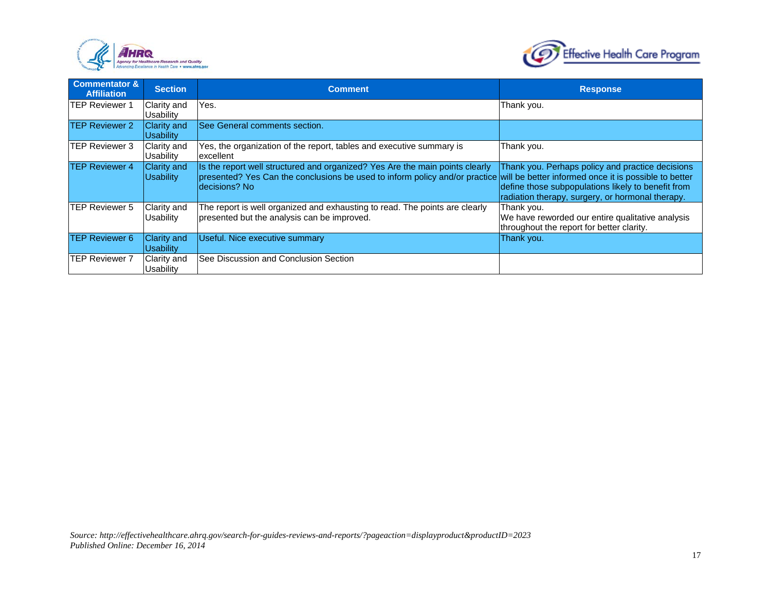



| <b>Commentator &amp;</b><br><b>Affiliation</b> | <b>Section</b>                  | <b>Comment</b>                                                                                                                                                                                                                     | <b>Response</b>                                                                                                                                            |
|------------------------------------------------|---------------------------------|------------------------------------------------------------------------------------------------------------------------------------------------------------------------------------------------------------------------------------|------------------------------------------------------------------------------------------------------------------------------------------------------------|
| <b>TEP Reviewer 1</b>                          | Clarity and<br>Usability        | Yes.                                                                                                                                                                                                                               | Thank you.                                                                                                                                                 |
| <b>TEP Reviewer 2</b>                          | Clarity and<br>Usability        | See General comments section.                                                                                                                                                                                                      |                                                                                                                                                            |
| <b>TEP Reviewer 3</b>                          | <b>Clarity and</b><br>Usability | Yes, the organization of the report, tables and executive summary is<br>excellent                                                                                                                                                  | Thank you.                                                                                                                                                 |
| <b>TEP Reviewer 4</b>                          | Clarity and<br><b>Usability</b> | Is the report well structured and organized? Yes Are the main points clearly<br>presented? Yes Can the conclusions be used to inform policy and/or practice will be better informed once it is possible to better<br>decisions? No | Thank you. Perhaps policy and practice decisions<br>define those subpopulations likely to benefit from<br>radiation therapy, surgery, or hormonal therapy. |
| <b>TEP Reviewer 5</b>                          | Clarity and<br><b>Usability</b> | The report is well organized and exhausting to read. The points are clearly<br>presented but the analysis can be improved.                                                                                                         | Thank you.<br>We have reworded our entire qualitative analysis<br>throughout the report for better clarity.                                                |
| <b>TEP Reviewer 6</b>                          | Clarity and<br>Usability        | Useful. Nice executive summary                                                                                                                                                                                                     | Thank you.                                                                                                                                                 |
| <b>TEP Reviewer 7</b>                          | Clarity and<br><b>Usability</b> | See Discussion and Conclusion Section                                                                                                                                                                                              |                                                                                                                                                            |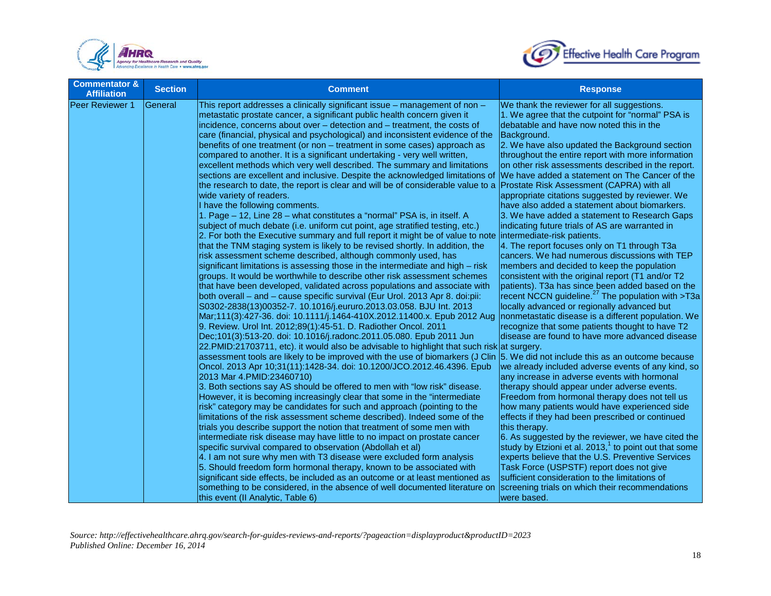



| <b>Commentator &amp;</b><br><b>Affiliation</b> | <b>Section</b> | <b>Comment</b>                                                                                                                                                                                                                                                                                                                                                                                                                                                                                                                                                                                                                                                                                                                                                                                                                                                                                                                                                                                                                                                                                                                                                                                                                                                                                                                                                                                                                                                                                                                                                                                                                                                                                                                                                                                                                                                                                                                                                                                                                                                                                                                                                                                                                                                                                                                                                                                                                                                                                                                                                                                                                                                                                                                                                                                                                                                                                                                                                                                                                                       | <b>Response</b>                                                                                                                                                                                                                                                                                                                                                                                                                                                                                                                                                                                                                                                                                                                                                                                                                                                                                                                                                                                                                                                                                                                                                                                                                                                                                                                                                                                                                                                                                                                                                                                                                                                                                                                                                                                                                                                                         |
|------------------------------------------------|----------------|------------------------------------------------------------------------------------------------------------------------------------------------------------------------------------------------------------------------------------------------------------------------------------------------------------------------------------------------------------------------------------------------------------------------------------------------------------------------------------------------------------------------------------------------------------------------------------------------------------------------------------------------------------------------------------------------------------------------------------------------------------------------------------------------------------------------------------------------------------------------------------------------------------------------------------------------------------------------------------------------------------------------------------------------------------------------------------------------------------------------------------------------------------------------------------------------------------------------------------------------------------------------------------------------------------------------------------------------------------------------------------------------------------------------------------------------------------------------------------------------------------------------------------------------------------------------------------------------------------------------------------------------------------------------------------------------------------------------------------------------------------------------------------------------------------------------------------------------------------------------------------------------------------------------------------------------------------------------------------------------------------------------------------------------------------------------------------------------------------------------------------------------------------------------------------------------------------------------------------------------------------------------------------------------------------------------------------------------------------------------------------------------------------------------------------------------------------------------------------------------------------------------------------------------------------------------------------------------------------------------------------------------------------------------------------------------------------------------------------------------------------------------------------------------------------------------------------------------------------------------------------------------------------------------------------------------------------------------------------------------------------------------------------------------------|-----------------------------------------------------------------------------------------------------------------------------------------------------------------------------------------------------------------------------------------------------------------------------------------------------------------------------------------------------------------------------------------------------------------------------------------------------------------------------------------------------------------------------------------------------------------------------------------------------------------------------------------------------------------------------------------------------------------------------------------------------------------------------------------------------------------------------------------------------------------------------------------------------------------------------------------------------------------------------------------------------------------------------------------------------------------------------------------------------------------------------------------------------------------------------------------------------------------------------------------------------------------------------------------------------------------------------------------------------------------------------------------------------------------------------------------------------------------------------------------------------------------------------------------------------------------------------------------------------------------------------------------------------------------------------------------------------------------------------------------------------------------------------------------------------------------------------------------------------------------------------------------|
| Peer Reviewer 1                                | General        | This report addresses a clinically significant issue - management of non -<br>metastatic prostate cancer, a significant public health concern given it<br>incidence, concerns about over - detection and - treatment, the costs of<br>care (financial, physical and psychological) and inconsistent evidence of the<br>benefits of one treatment (or non – treatment in some cases) approach as<br>compared to another. It is a significant undertaking - very well written,<br>excellent methods which very well described. The summary and limitations<br>sections are excellent and inclusive. Despite the acknowledged limitations of<br>the research to date, the report is clear and will be of considerable value to a<br>wide variety of readers.<br>I have the following comments.<br>1. Page - 12, Line 28 - what constitutes a "normal" PSA is, in itself. A<br>subject of much debate (i.e. uniform cut point, age stratified testing, etc.)<br>2. For both the Executive summary and full report it might be of value to note<br>that the TNM staging system is likely to be revised shortly. In addition, the<br>risk assessment scheme described, although commonly used, has<br>significant limitations is assessing those in the intermediate and high – risk<br>groups. It would be worthwhile to describe other risk assessment schemes<br>that have been developed, validated across populations and associate with<br>both overall - and - cause specific survival (Eur Urol. 2013 Apr 8. doi:pii:<br>S0302-2838(13)00352-7. 10.1016/j.eururo.2013.03.058. BJU Int. 2013<br>Mar;111(3):427-36. doi: 10.1111/j.1464-410X.2012.11400.x. Epub 2012 Aug<br>9. Review. Urol Int. 2012;89(1):45-51. D. Radiother Oncol. 2011<br>Dec;101(3):513-20. doi: 10.1016/j.radonc.2011.05.080. Epub 2011 Jun<br>22. PMID:21703711, etc). it would also be advisable to highlight that such risk at surgery.<br>assessment tools are likely to be improved with the use of biomarkers (J Clin 5. We did not include this as an outcome because<br>Oncol. 2013 Apr 10;31(11):1428-34. doi: 10.1200/JCO.2012.46.4396. Epub<br>2013 Mar 4.PMID:23460710)<br>3. Both sections say AS should be offered to men with "low risk" disease.<br>However, it is becoming increasingly clear that some in the "intermediate<br>risk" category may be candidates for such and approach (pointing to the<br>limitations of the risk assessment scheme described). Indeed some of the<br>trials you describe support the notion that treatment of some men with<br>intermediate risk disease may have little to no impact on prostate cancer<br>specific survival compared to observation (Abdollah et al)<br>4. I am not sure why men with T3 disease were excluded form analysis<br>5. Should freedom form hormonal therapy, known to be associated with<br>significant side effects, be included as an outcome or at least mentioned as<br>something to be considered, in the absence of well documented literature on<br>this event (II Analytic, Table 6) | We thank the reviewer for all suggestions.<br>1. We agree that the cutpoint for "normal" PSA is<br>debatable and have now noted this in the<br>Background.<br>2. We have also updated the Background section<br>throughout the entire report with more information<br>on other risk assessments described in the report.<br>We have added a statement on The Cancer of the<br><b>Prostate Risk Assessment (CAPRA) with all</b><br>appropriate citations suggested by reviewer. We<br>have also added a statement about biomarkers.<br>3. We have added a statement to Research Gaps<br>indicating future trials of AS are warranted in<br>intermediate-risk patients.<br>4. The report focuses only on T1 through T3a<br>cancers. We had numerous discussions with TEP<br>members and decided to keep the population<br>consistent with the original report (T1 and/or T2<br>patients). T3a has since been added based on the<br>recent NCCN guideline. <sup>27</sup> The population with >T3a<br>locally advanced or regionally advanced but<br>nonmetastatic disease is a different population. We<br>recognize that some patients thought to have T2<br>disease are found to have more advanced disease<br>we already included adverse events of any kind, so<br>any increase in adverse events with hormonal<br>therapy should appear under adverse events.<br>Freedom from hormonal therapy does not tell us<br>how many patients would have experienced side<br>effects if they had been prescribed or continued<br>this therapy.<br>6. As suggested by the reviewer, we have cited the<br>study by Etzioni et al. 2013, <sup>1</sup> to point out that some<br>experts believe that the U.S. Preventive Services<br>Task Force (USPSTF) report does not give<br>sufficient consideration to the limitations of<br>screening trials on which their recommendations<br>were based. |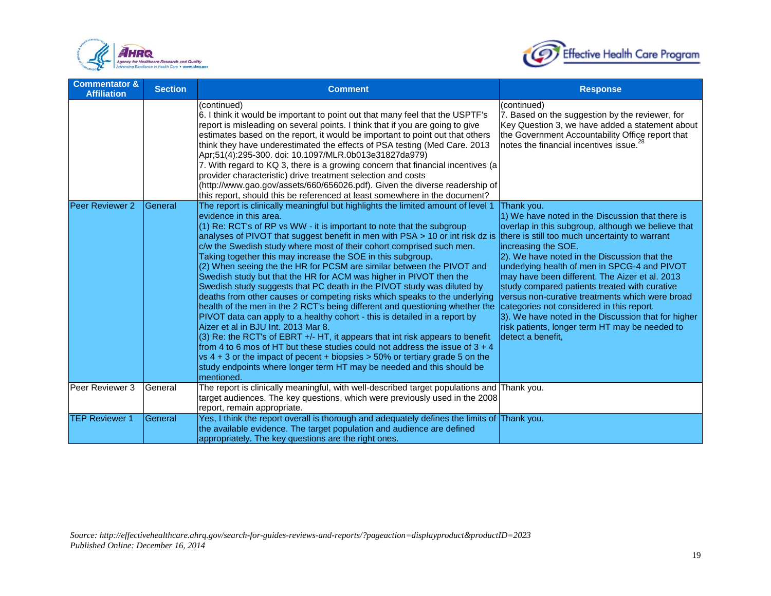



| <b>Commentator &amp;</b><br><b>Affiliation</b> | <b>Section</b> | <b>Comment</b>                                                                                                                                                                                                                                                                                                                                                                                                                                                                                                                                                                                                                                                                                                                                                                                                                                                                                                                                                                                                                                                                                                                                                                                                                                                      | <b>Response</b>                                                                                                                                                                                                                                                                                                                                                                                                                                                                                                                                                                                                                |
|------------------------------------------------|----------------|---------------------------------------------------------------------------------------------------------------------------------------------------------------------------------------------------------------------------------------------------------------------------------------------------------------------------------------------------------------------------------------------------------------------------------------------------------------------------------------------------------------------------------------------------------------------------------------------------------------------------------------------------------------------------------------------------------------------------------------------------------------------------------------------------------------------------------------------------------------------------------------------------------------------------------------------------------------------------------------------------------------------------------------------------------------------------------------------------------------------------------------------------------------------------------------------------------------------------------------------------------------------|--------------------------------------------------------------------------------------------------------------------------------------------------------------------------------------------------------------------------------------------------------------------------------------------------------------------------------------------------------------------------------------------------------------------------------------------------------------------------------------------------------------------------------------------------------------------------------------------------------------------------------|
|                                                |                | (continued)<br>6. I think it would be important to point out that many feel that the USPTF's<br>report is misleading on several points. I think that if you are going to give<br>estimates based on the report, it would be important to point out that others<br>think they have underestimated the effects of PSA testing (Med Care. 2013<br>Apr;51(4):295-300. doi: 10.1097/MLR.0b013e31827da979)<br>7. With regard to KQ 3, there is a growing concern that financial incentives (a<br>provider characteristic) drive treatment selection and costs<br>(http://www.gao.gov/assets/660/656026.pdf). Given the diverse readership of<br>this report, should this be referenced at least somewhere in the document?                                                                                                                                                                                                                                                                                                                                                                                                                                                                                                                                                | (continued)<br>7. Based on the suggestion by the reviewer, for<br>Key Question 3, we have added a statement about<br>the Government Accountability Office report that<br>notes the financial incentives issue. <sup>28</sup>                                                                                                                                                                                                                                                                                                                                                                                                   |
| Peer Reviewer 2                                | General        | The report is clinically meaningful but highlights the limited amount of level 1<br>evidence in this area.<br>(1) Re: RCT's of RP vs WW - it is important to note that the subgroup<br>analyses of PIVOT that suggest benefit in men with PSA > 10 or int risk dz is<br>c/w the Swedish study where most of their cohort comprised such men.<br>Taking together this may increase the SOE in this subgroup.<br>(2) When seeing the the HR for PCSM are similar between the PIVOT and<br>Swedish study but that the HR for ACM was higher in PIVOT then the<br>Swedish study suggests that PC death in the PIVOT study was diluted by<br>deaths from other causes or competing risks which speaks to the underlying<br>health of the men in the 2 RCT's being different and questioning whether the<br>PIVOT data can apply to a healthy cohort - this is detailed in a report by<br>Aizer et al in BJU Int. 2013 Mar 8.<br>(3) Re: the RCT's of EBRT +/- HT, it appears that int risk appears to benefit<br>from 4 to 6 mos of HT but these studies could not address the issue of $3 + 4$<br>$vs$ 4 + 3 or the impact of pecent + biopsies > 50% or tertiary grade 5 on the<br>study endpoints where longer term HT may be needed and this should be<br>mentioned. | Thank you.<br>1) We have noted in the Discussion that there is<br>overlap in this subgroup, although we believe that<br>there is still too much uncertainty to warrant<br>increasing the SOE.<br>2). We have noted in the Discussion that the<br>underlying health of men in SPCG-4 and PIVOT<br>may have been different. The Aizer et al. 2013<br>study compared patients treated with curative<br>versus non-curative treatments which were broad<br>categories not considered in this report.<br>3). We have noted in the Discussion that for higher<br>risk patients, longer term HT may be needed to<br>detect a benefit, |
| Peer Reviewer 3                                | General        | The report is clinically meaningful, with well-described target populations and Thank you.<br>target audiences. The key questions, which were previously used in the 2008<br>report, remain appropriate.                                                                                                                                                                                                                                                                                                                                                                                                                                                                                                                                                                                                                                                                                                                                                                                                                                                                                                                                                                                                                                                            |                                                                                                                                                                                                                                                                                                                                                                                                                                                                                                                                                                                                                                |
| <b>TEP Reviewer 1</b>                          | General        | Yes, I think the report overall is thorough and adequately defines the limits of Thank you.<br>the available evidence. The target population and audience are defined<br>appropriately. The key questions are the right ones.                                                                                                                                                                                                                                                                                                                                                                                                                                                                                                                                                                                                                                                                                                                                                                                                                                                                                                                                                                                                                                       |                                                                                                                                                                                                                                                                                                                                                                                                                                                                                                                                                                                                                                |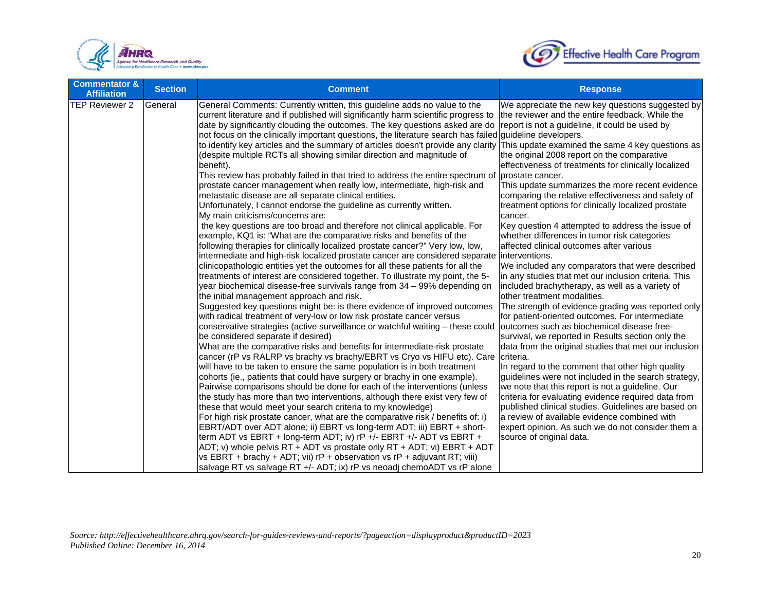



| <b>Commentator &amp;</b><br><b>Affiliation</b> | <b>Section</b> | <b>Comment</b>                                                                                                                                                                                                                                                                                                                                                                                                                                                                                                                                                                                                                                                                                                                                                                                                                                                                                                                                                                                                                                                                                                                                                                                                                                                                                                                                                                                                                                                                                                                                                                                                                                                                                                                                                                                                                                                                                                                                                                                                                                                                                                                                                                                                                                                                                                                                                                                                                                                                                                                                                                                                                                                                                                                                                                                                                                                | <b>Response</b>                                                                                                                                                                                                                                                                                                                                                                                                                                                                                                                                                                                                                                                                                                                                                                                                                                                                                                                                                                                                                                                                                                                                                                                                                                                                                                                                                                                                                                                                                           |
|------------------------------------------------|----------------|---------------------------------------------------------------------------------------------------------------------------------------------------------------------------------------------------------------------------------------------------------------------------------------------------------------------------------------------------------------------------------------------------------------------------------------------------------------------------------------------------------------------------------------------------------------------------------------------------------------------------------------------------------------------------------------------------------------------------------------------------------------------------------------------------------------------------------------------------------------------------------------------------------------------------------------------------------------------------------------------------------------------------------------------------------------------------------------------------------------------------------------------------------------------------------------------------------------------------------------------------------------------------------------------------------------------------------------------------------------------------------------------------------------------------------------------------------------------------------------------------------------------------------------------------------------------------------------------------------------------------------------------------------------------------------------------------------------------------------------------------------------------------------------------------------------------------------------------------------------------------------------------------------------------------------------------------------------------------------------------------------------------------------------------------------------------------------------------------------------------------------------------------------------------------------------------------------------------------------------------------------------------------------------------------------------------------------------------------------------------------------------------------------------------------------------------------------------------------------------------------------------------------------------------------------------------------------------------------------------------------------------------------------------------------------------------------------------------------------------------------------------------------------------------------------------------------------------------------------------|-----------------------------------------------------------------------------------------------------------------------------------------------------------------------------------------------------------------------------------------------------------------------------------------------------------------------------------------------------------------------------------------------------------------------------------------------------------------------------------------------------------------------------------------------------------------------------------------------------------------------------------------------------------------------------------------------------------------------------------------------------------------------------------------------------------------------------------------------------------------------------------------------------------------------------------------------------------------------------------------------------------------------------------------------------------------------------------------------------------------------------------------------------------------------------------------------------------------------------------------------------------------------------------------------------------------------------------------------------------------------------------------------------------------------------------------------------------------------------------------------------------|
| <b>TEP Reviewer 2</b>                          | General        | General Comments: Currently written, this guideline adds no value to the<br>current literature and if published will significantly harm scientific progress to<br>date by significantly clouding the outcomes. The key questions asked are do<br>not focus on the clinically important questions, the literature search has failed guideline developers.<br>to identify key articles and the summary of articles doesn't provide any clarity This update examined the same 4 key questions as<br>(despite multiple RCTs all showing similar direction and magnitude of<br>benefit).<br>This review has probably failed in that tried to address the entire spectrum of<br>prostate cancer management when really low, intermediate, high-risk and<br>metastatic disease are all separate clinical entities.<br>Unfortunately, I cannot endorse the guideline as currently written.<br>My main criticisms/concerns are:<br>the key questions are too broad and therefore not clinical applicable. For<br>example, KQ1 is: "What are the comparative risks and benefits of the<br>following therapies for clinically localized prostate cancer?" Very low, low,<br>intermediate and high-risk localized prostate cancer are considered separate linterventions.<br>clinicopathologic entities yet the outcomes for all these patients for all the<br>treatments of interest are considered together. To illustrate my point, the 5-<br>year biochemical disease-free survivals range from 34 - 99% depending on<br>the initial management approach and risk.<br>Suggested key questions might be: is there evidence of improved outcomes<br>with radical treatment of very-low or low risk prostate cancer versus<br>conservative strategies (active surveillance or watchful waiting - these could<br>be considered separate if desired)<br>What are the comparative risks and benefits for intermediate-risk prostate<br>cancer (rP vs RALRP vs brachy vs brachy/EBRT vs Cryo vs HIFU etc). Care<br>will have to be taken to ensure the same population is in both treatment<br>cohorts (ie., patients that could have surgery or brachy in one example).<br>Pairwise comparisons should be done for each of the interventions (unless<br>the study has more than two interventions, although there exist very few of<br>these that would meet your search criteria to my knowledge)<br>For high risk prostate cancer, what are the comparative risk / benefits of: i)<br>EBRT/ADT over ADT alone; ii) EBRT vs long-term ADT; iii) EBRT + short-<br>term ADT vs EBRT + long-term ADT; iv) rP +/- EBRT +/- ADT vs EBRT +<br>ADT; v) whole pelvis RT + ADT vs prostate only RT + ADT; vi) EBRT + ADT<br>vs EBRT + brachy + ADT; vii) $rP$ + observation vs $rP$ + adjuvant RT; viii)<br>salvage RT vs salvage RT +/- ADT; ix) rP vs neoadj chemoADT vs rP alone | We appreciate the new key questions suggested by<br>the reviewer and the entire feedback. While the<br>report is not a quideline, it could be used by<br>the original 2008 report on the comparative<br>effectiveness of treatments for clinically localized<br>prostate cancer.<br>This update summarizes the more recent evidence<br>comparing the relative effectiveness and safety of<br>treatment options for clinically localized prostate<br>cancer.<br>Key question 4 attempted to address the issue of<br>whether differences in tumor risk categories<br>affected clinical outcomes after various<br>We included any comparators that were described<br>in any studies that met our inclusion criteria. This<br>included brachytherapy, as well as a variety of<br>other treatment modalities.<br>The strength of evidence grading was reported only<br>for patient-oriented outcomes. For intermediate<br>outcomes such as biochemical disease free-<br>survival, we reported in Results section only the<br>data from the original studies that met our inclusion<br>criteria.<br>In regard to the comment that other high quality<br>guidelines were not included in the search strategy,<br>we note that this report is not a guideline. Our<br>criteria for evaluating evidence required data from<br>published clinical studies. Guidelines are based on<br>a review of available evidence combined with<br>expert opinion. As such we do not consider them a<br>source of original data. |
|                                                |                |                                                                                                                                                                                                                                                                                                                                                                                                                                                                                                                                                                                                                                                                                                                                                                                                                                                                                                                                                                                                                                                                                                                                                                                                                                                                                                                                                                                                                                                                                                                                                                                                                                                                                                                                                                                                                                                                                                                                                                                                                                                                                                                                                                                                                                                                                                                                                                                                                                                                                                                                                                                                                                                                                                                                                                                                                                                               |                                                                                                                                                                                                                                                                                                                                                                                                                                                                                                                                                                                                                                                                                                                                                                                                                                                                                                                                                                                                                                                                                                                                                                                                                                                                                                                                                                                                                                                                                                           |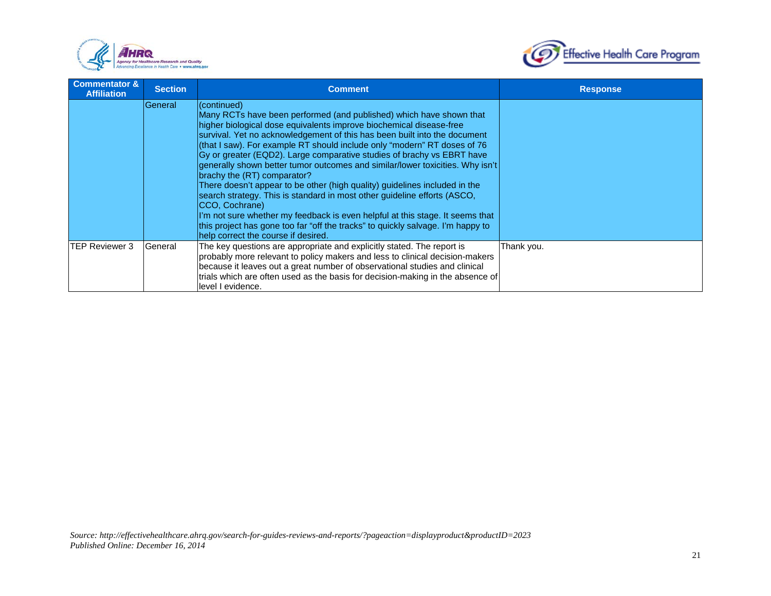



| <b>Commentator &amp;</b><br><b>Affiliation</b> | <b>Section</b> | <b>Comment</b>                                                                                                                                                                                                                                                                                                                                                                                                                                                                                                                                                                                                                                                                                                                                                                                                                                                                                       | <b>Response</b> |
|------------------------------------------------|----------------|------------------------------------------------------------------------------------------------------------------------------------------------------------------------------------------------------------------------------------------------------------------------------------------------------------------------------------------------------------------------------------------------------------------------------------------------------------------------------------------------------------------------------------------------------------------------------------------------------------------------------------------------------------------------------------------------------------------------------------------------------------------------------------------------------------------------------------------------------------------------------------------------------|-----------------|
|                                                | General        | (continued)<br>Many RCTs have been performed (and published) which have shown that<br>higher biological dose equivalents improve biochemical disease-free<br>survival. Yet no acknowledgement of this has been built into the document<br>(that I saw). For example RT should include only "modern" RT doses of 76<br>Gy or greater (EQD2). Large comparative studies of brachy vs EBRT have<br>generally shown better tumor outcomes and similar/lower toxicities. Why isn't<br>brachy the (RT) comparator?<br>There doesn't appear to be other (high quality) guidelines included in the<br>search strategy. This is standard in most other guideline efforts (ASCO,<br>ICCO, Cochrane)<br>I'm not sure whether my feedback is even helpful at this stage. It seems that<br>this project has gone too far "off the tracks" to quickly salvage. I'm happy to<br>help correct the course if desired. |                 |
| <b>ITEP Reviewer 3</b>                         | General        | The key questions are appropriate and explicitly stated. The report is<br>probably more relevant to policy makers and less to clinical decision-makers<br>because it leaves out a great number of observational studies and clinical<br>trials which are often used as the basis for decision-making in the absence of<br>level I evidence.                                                                                                                                                                                                                                                                                                                                                                                                                                                                                                                                                          | Thank you.      |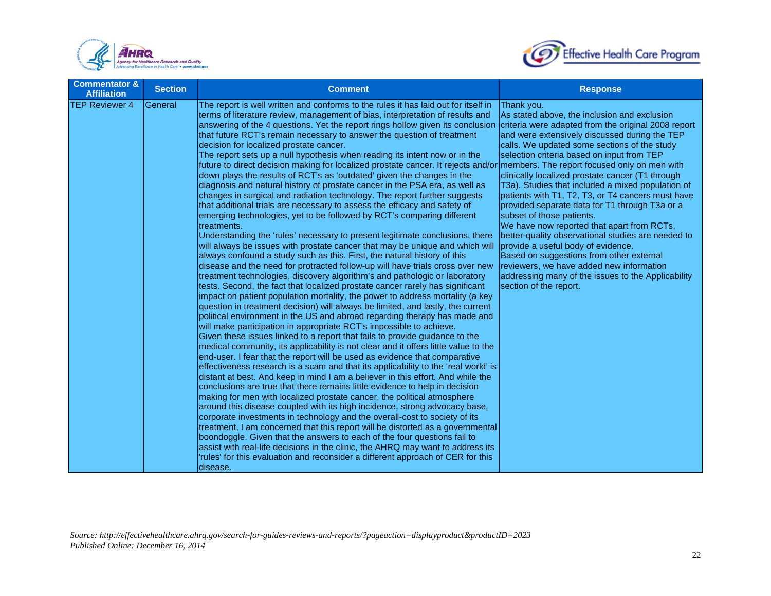



| <b>Commentator &amp;</b><br><b>Affiliation</b> | <b>Section</b> | <b>Comment</b>                                                                                                                                                                                                                                                                                                                                                                                                                                                                                                                                                                                                                                                                                                                                                                                                                                                                                                                                                                                                                                                                                                                                                                                                                                                                                                                                                                                                                                                                                                                                                                                                                                                                                                                                                                                                                                                                                                                                                                                                                                                                                                                                                                                                                                                                                                                                                                                                                                                                                                                                                                                                                                                                                                                                                                                                                                                                                                                 | <b>Response</b>                                                                                                                                                                                                                                                                                                                                                                                                                                                                                                                                                                                                                                                                                                                                                                                                                 |
|------------------------------------------------|----------------|--------------------------------------------------------------------------------------------------------------------------------------------------------------------------------------------------------------------------------------------------------------------------------------------------------------------------------------------------------------------------------------------------------------------------------------------------------------------------------------------------------------------------------------------------------------------------------------------------------------------------------------------------------------------------------------------------------------------------------------------------------------------------------------------------------------------------------------------------------------------------------------------------------------------------------------------------------------------------------------------------------------------------------------------------------------------------------------------------------------------------------------------------------------------------------------------------------------------------------------------------------------------------------------------------------------------------------------------------------------------------------------------------------------------------------------------------------------------------------------------------------------------------------------------------------------------------------------------------------------------------------------------------------------------------------------------------------------------------------------------------------------------------------------------------------------------------------------------------------------------------------------------------------------------------------------------------------------------------------------------------------------------------------------------------------------------------------------------------------------------------------------------------------------------------------------------------------------------------------------------------------------------------------------------------------------------------------------------------------------------------------------------------------------------------------------------------------------------------------------------------------------------------------------------------------------------------------------------------------------------------------------------------------------------------------------------------------------------------------------------------------------------------------------------------------------------------------------------------------------------------------------------------------------------------------|---------------------------------------------------------------------------------------------------------------------------------------------------------------------------------------------------------------------------------------------------------------------------------------------------------------------------------------------------------------------------------------------------------------------------------------------------------------------------------------------------------------------------------------------------------------------------------------------------------------------------------------------------------------------------------------------------------------------------------------------------------------------------------------------------------------------------------|
| <b>TEP Reviewer 4</b>                          | lGeneral       | The report is well written and conforms to the rules it has laid out for itself in<br>terms of literature review, management of bias, interpretation of results and<br>answering of the 4 questions. Yet the report rings hollow given its conclusion<br>that future RCT's remain necessary to answer the question of treatment<br>decision for localized prostate cancer.<br>The report sets up a null hypothesis when reading its intent now or in the<br>future to direct decision making for localized prostate cancer. It rejects and/or members. The report focused only on men with<br>down plays the results of RCT's as 'outdated' given the changes in the<br>diagnosis and natural history of prostate cancer in the PSA era, as well as<br>changes in surgical and radiation technology. The report further suggests<br>that additional trials are necessary to assess the efficacy and safety of<br>emerging technologies, yet to be followed by RCT's comparing different<br>Itreatments.<br>Understanding the 'rules' necessary to present legitimate conclusions, there<br>will always be issues with prostate cancer that may be unique and which will<br>always confound a study such as this. First, the natural history of this<br>disease and the need for protracted follow-up will have trials cross over new<br>treatment technologies, discovery algorithm's and pathologic or laboratory<br>tests. Second, the fact that localized prostate cancer rarely has significant<br>impact on patient population mortality, the power to address mortality (a key<br>question in treatment decision) will always be limited, and lastly, the current<br>political environment in the US and abroad regarding therapy has made and<br>will make participation in appropriate RCT's impossible to achieve.<br>Given these issues linked to a report that fails to provide guidance to the<br>medical community, its applicability is not clear and it offers little value to the<br>end-user. I fear that the report will be used as evidence that comparative<br>effectiveness research is a scam and that its applicability to the 'real world' is<br>distant at best. And keep in mind I am a believer in this effort. And while the<br>conclusions are true that there remains little evidence to help in decision<br>making for men with localized prostate cancer, the political atmosphere<br>around this disease coupled with its high incidence, strong advocacy base,<br>corporate investments in technology and the overall-cost to society of its<br>treatment, I am concerned that this report will be distorted as a governmental<br>boondoggle. Given that the answers to each of the four questions fail to<br>assist with real-life decisions in the clinic, the AHRQ may want to address its<br>'rules' for this evaluation and reconsider a different approach of CER for this<br>disease. | Thank you.<br>As stated above, the inclusion and exclusion<br>criteria were adapted from the original 2008 report<br>and were extensively discussed during the TEP<br>calls. We updated some sections of the study<br>selection criteria based on input from TEP<br>clinically localized prostate cancer (T1 through<br>T3a). Studies that included a mixed population of<br>patients with T1, T2, T3, or T4 cancers must have<br>provided separate data for T1 through T3a or a<br>subset of those patients.<br>We have now reported that apart from RCTs,<br>better-quality observational studies are needed to<br>provide a useful body of evidence.<br>Based on suggestions from other external<br>reviewers, we have added new information<br>addressing many of the issues to the Applicability<br>section of the report. |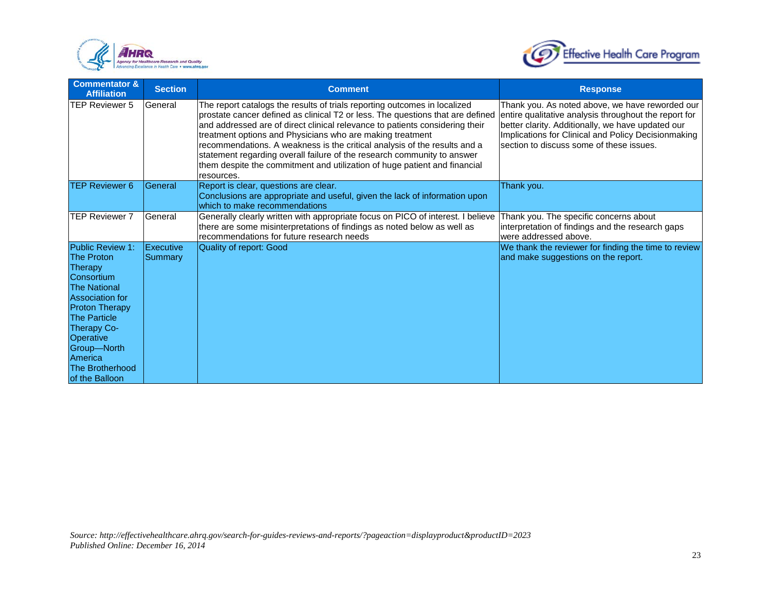



| <b>Commentator &amp;</b><br><b>Affiliation</b>                                                                                                                                                                                                                           | <b>Section</b>       | <b>Comment</b>                                                                                                                                                                                                                                                                                                                                                                                                                                                                                                                                              | <b>Response</b>                                                                                                                                                                                                                                                  |
|--------------------------------------------------------------------------------------------------------------------------------------------------------------------------------------------------------------------------------------------------------------------------|----------------------|-------------------------------------------------------------------------------------------------------------------------------------------------------------------------------------------------------------------------------------------------------------------------------------------------------------------------------------------------------------------------------------------------------------------------------------------------------------------------------------------------------------------------------------------------------------|------------------------------------------------------------------------------------------------------------------------------------------------------------------------------------------------------------------------------------------------------------------|
| TEP Reviewer 5                                                                                                                                                                                                                                                           | General              | The report catalogs the results of trials reporting outcomes in localized<br>prostate cancer defined as clinical T2 or less. The questions that are defined<br>and addressed are of direct clinical relevance to patients considering their<br>treatment options and Physicians who are making treatment<br>recommendations. A weakness is the critical analysis of the results and a<br>statement regarding overall failure of the research community to answer<br>them despite the commitment and utilization of huge patient and financial<br>resources. | Thank you. As noted above, we have reworded our<br>entire qualitative analysis throughout the report for<br>better clarity. Additionally, we have updated our<br>Implications for Clinical and Policy Decisionmaking<br>section to discuss some of these issues. |
| <b>TEP Reviewer 6</b>                                                                                                                                                                                                                                                    | General              | Report is clear, questions are clear.<br>Conclusions are appropriate and useful, given the lack of information upon<br>which to make recommendations                                                                                                                                                                                                                                                                                                                                                                                                        | Thank you.                                                                                                                                                                                                                                                       |
| <b>ITEP Reviewer 7</b>                                                                                                                                                                                                                                                   | General              | Generally clearly written with appropriate focus on PICO of interest. I believe<br>there are some misinterpretations of findings as noted below as well as<br>recommendations for future research needs                                                                                                                                                                                                                                                                                                                                                     | Thank you. The specific concerns about<br>interpretation of findings and the research gaps<br>were addressed above.                                                                                                                                              |
| Public Review 1:<br><b>The Proton</b><br>Therapy<br>Consortium<br><b>The National</b><br><b>Association for</b><br><b>Proton Therapy</b><br><b>The Particle</b><br><b>Therapy Co-</b><br>Operative<br>Group-North<br>America<br><b>The Brotherhood</b><br>of the Balloon | Executive<br>Summary | <b>Quality of report: Good</b>                                                                                                                                                                                                                                                                                                                                                                                                                                                                                                                              | We thank the reviewer for finding the time to review<br>and make suggestions on the report.                                                                                                                                                                      |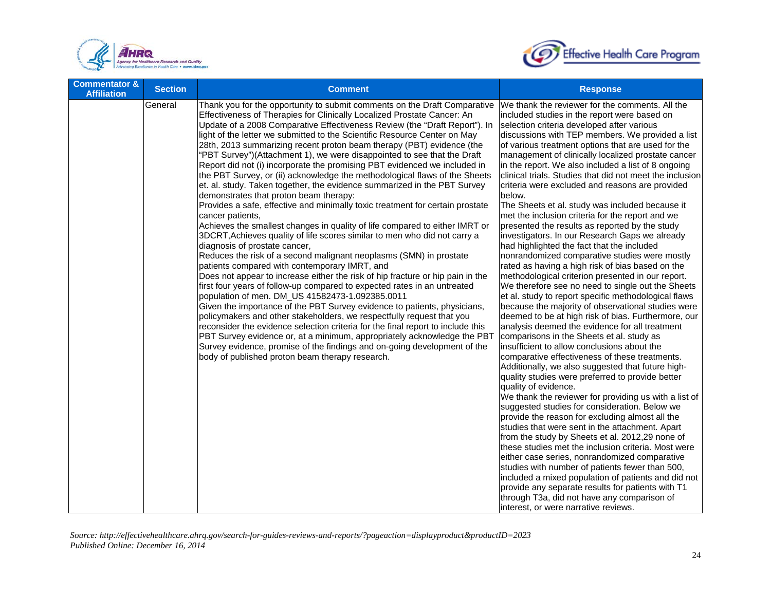



| <b>Commentator &amp;</b><br><b>Affiliation</b> | <b>Section</b> | <b>Comment</b>                                                                                                                                                                                                                                                                                                                                                                                                                                                                                                                                                                                                                                                                                                                                                                                                                                                                                                                                                                                                                                                                                                                                                                                                                                                                                                                                                                                                                                                                                                                                                                                                                                                                                                                                                                                                                                   | <b>Response</b>                                                                                                                                                                                                                                                                                                                                                                                                                                                                                                                                                                                                                                                                                                                                                                                                                                                                                                                                                                                                                                                                                                                                                                                                                                                                                                                                                                                                                                                                                                                                                                                                                                                                                                                                                                                                                                                                                                                                                                                                                                                                                              |
|------------------------------------------------|----------------|--------------------------------------------------------------------------------------------------------------------------------------------------------------------------------------------------------------------------------------------------------------------------------------------------------------------------------------------------------------------------------------------------------------------------------------------------------------------------------------------------------------------------------------------------------------------------------------------------------------------------------------------------------------------------------------------------------------------------------------------------------------------------------------------------------------------------------------------------------------------------------------------------------------------------------------------------------------------------------------------------------------------------------------------------------------------------------------------------------------------------------------------------------------------------------------------------------------------------------------------------------------------------------------------------------------------------------------------------------------------------------------------------------------------------------------------------------------------------------------------------------------------------------------------------------------------------------------------------------------------------------------------------------------------------------------------------------------------------------------------------------------------------------------------------------------------------------------------------|--------------------------------------------------------------------------------------------------------------------------------------------------------------------------------------------------------------------------------------------------------------------------------------------------------------------------------------------------------------------------------------------------------------------------------------------------------------------------------------------------------------------------------------------------------------------------------------------------------------------------------------------------------------------------------------------------------------------------------------------------------------------------------------------------------------------------------------------------------------------------------------------------------------------------------------------------------------------------------------------------------------------------------------------------------------------------------------------------------------------------------------------------------------------------------------------------------------------------------------------------------------------------------------------------------------------------------------------------------------------------------------------------------------------------------------------------------------------------------------------------------------------------------------------------------------------------------------------------------------------------------------------------------------------------------------------------------------------------------------------------------------------------------------------------------------------------------------------------------------------------------------------------------------------------------------------------------------------------------------------------------------------------------------------------------------------------------------------------------------|
|                                                | General        | Thank you for the opportunity to submit comments on the Draft Comparative<br>Effectiveness of Therapies for Clinically Localized Prostate Cancer: An<br>Update of a 2008 Comparative Effectiveness Review (the "Draft Report"). In<br>light of the letter we submitted to the Scientific Resource Center on May<br>28th, 2013 summarizing recent proton beam therapy (PBT) evidence (the<br>"PBT Survey")(Attachment 1), we were disappointed to see that the Draft<br>Report did not (i) incorporate the promising PBT evidenced we included in<br>the PBT Survey, or (ii) acknowledge the methodological flaws of the Sheets<br>et. al. study. Taken together, the evidence summarized in the PBT Survey<br>demonstrates that proton beam therapy:<br>Provides a safe, effective and minimally toxic treatment for certain prostate<br>cancer patients,<br>Achieves the smallest changes in quality of life compared to either IMRT or<br>3DCRT, Achieves quality of life scores similar to men who did not carry a<br>diagnosis of prostate cancer,<br>Reduces the risk of a second malignant neoplasms (SMN) in prostate<br>patients compared with contemporary IMRT, and<br>Does not appear to increase either the risk of hip fracture or hip pain in the<br>first four years of follow-up compared to expected rates in an untreated<br>population of men. DM_US 41582473-1.092385.0011<br>Given the importance of the PBT Survey evidence to patients, physicians,<br>policymakers and other stakeholders, we respectfully request that you<br>reconsider the evidence selection criteria for the final report to include this<br>PBT Survey evidence or, at a minimum, appropriately acknowledge the PBT<br>Survey evidence, promise of the findings and on-going development of the<br>body of published proton beam therapy research. | We thank the reviewer for the comments. All the<br>included studies in the report were based on<br>selection criteria developed after various<br>discussions with TEP members. We provided a list<br>of various treatment options that are used for the<br>management of clinically localized prostate cancer<br>in the report. We also included a list of 8 ongoing<br>clinical trials. Studies that did not meet the inclusion<br>criteria were excluded and reasons are provided<br>below.<br>The Sheets et al. study was included because it<br>met the inclusion criteria for the report and we<br>presented the results as reported by the study<br>investigators. In our Research Gaps we already<br>had highlighted the fact that the included<br>nonrandomized comparative studies were mostly<br>rated as having a high risk of bias based on the<br>methodological criterion presented in our report.<br>We therefore see no need to single out the Sheets<br>et al. study to report specific methodological flaws<br>because the majority of observational studies were<br>deemed to be at high risk of bias. Furthermore, our<br>analysis deemed the evidence for all treatment<br>comparisons in the Sheets et al. study as<br>insufficient to allow conclusions about the<br>comparative effectiveness of these treatments.<br>Additionally, we also suggested that future high-<br>quality studies were preferred to provide better<br>quality of evidence.<br>We thank the reviewer for providing us with a list of<br>suggested studies for consideration. Below we<br>provide the reason for excluding almost all the<br>studies that were sent in the attachment. Apart<br>from the study by Sheets et al. 2012,29 none of<br>these studies met the inclusion criteria. Most were<br>either case series, nonrandomized comparative<br>studies with number of patients fewer than 500,<br>included a mixed population of patients and did not<br>provide any separate results for patients with T1<br>through T3a, did not have any comparison of<br>interest, or were narrative reviews. |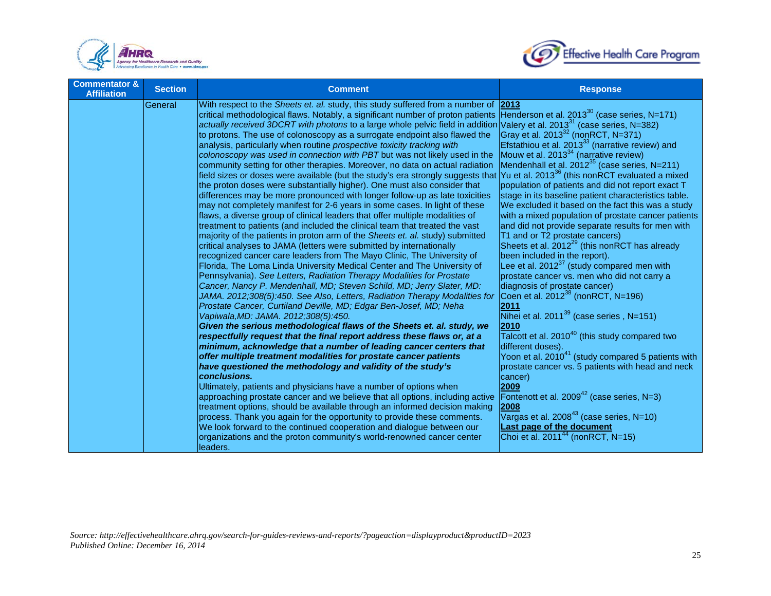



| <b>Commentator &amp;</b><br><b>Affiliation</b> | <b>Section</b> | <b>Comment</b>                                                                                                                                                                                                                                                                                                                                                                                                                                                                                                                                                                                                                                                                                                                                                                                                                                                                                                                                                                                                                                                                                                                                                                                                                                                                                                                                                                                                                                                                                                                                                                                                                                                                                                                                                                                                                                                                                                                                                                                                                                                                                                                                                                                                                                                                                                                                                                                                                                                                                                                                                                                                                                               | <b>Response</b>                                                                                                                                                                                                                                                                                                                                                                                                                                                                                                                                                                                                                                                                                                                                                                                                                                                                                                                                                                                                                                                                                                                                                                                                                                                                                                                                                                                              |
|------------------------------------------------|----------------|--------------------------------------------------------------------------------------------------------------------------------------------------------------------------------------------------------------------------------------------------------------------------------------------------------------------------------------------------------------------------------------------------------------------------------------------------------------------------------------------------------------------------------------------------------------------------------------------------------------------------------------------------------------------------------------------------------------------------------------------------------------------------------------------------------------------------------------------------------------------------------------------------------------------------------------------------------------------------------------------------------------------------------------------------------------------------------------------------------------------------------------------------------------------------------------------------------------------------------------------------------------------------------------------------------------------------------------------------------------------------------------------------------------------------------------------------------------------------------------------------------------------------------------------------------------------------------------------------------------------------------------------------------------------------------------------------------------------------------------------------------------------------------------------------------------------------------------------------------------------------------------------------------------------------------------------------------------------------------------------------------------------------------------------------------------------------------------------------------------------------------------------------------------------------------------------------------------------------------------------------------------------------------------------------------------------------------------------------------------------------------------------------------------------------------------------------------------------------------------------------------------------------------------------------------------------------------------------------------------------------------------------------------------|--------------------------------------------------------------------------------------------------------------------------------------------------------------------------------------------------------------------------------------------------------------------------------------------------------------------------------------------------------------------------------------------------------------------------------------------------------------------------------------------------------------------------------------------------------------------------------------------------------------------------------------------------------------------------------------------------------------------------------------------------------------------------------------------------------------------------------------------------------------------------------------------------------------------------------------------------------------------------------------------------------------------------------------------------------------------------------------------------------------------------------------------------------------------------------------------------------------------------------------------------------------------------------------------------------------------------------------------------------------------------------------------------------------|
|                                                | General        | With respect to the Sheets et. al. study, this study suffered from a number of 2013<br>critical methodological flaws. Notably, a significant number of proton patients<br>actually received 3DCRT with photons to a large whole pelvic field in addition<br>to protons. The use of colonoscopy as a surrogate endpoint also flawed the<br>analysis, particularly when routine prospective toxicity tracking with<br>colonoscopy was used in connection with PBT but was not likely used in the<br>community setting for other therapies. Moreover, no data on actual radiation<br>field sizes or doses were available (but the study's era strongly suggests that Yu et al. 2013 <sup>36</sup> (this nonRCT evaluated a mixed<br>the proton doses were substantially higher). One must also consider that<br>differences may be more pronounced with longer follow-up as late toxicities<br>may not completely manifest for 2-6 years in some cases. In light of these<br>flaws, a diverse group of clinical leaders that offer multiple modalities of<br>treatment to patients (and included the clinical team that treated the vast<br>majority of the patients in proton arm of the Sheets et. al. study) submitted<br>critical analyses to JAMA (letters were submitted by internationally<br>recognized cancer care leaders from The Mayo Clinic, The University of<br>Florida, The Loma Linda University Medical Center and The University of<br>Pennsylvania). See Letters, Radiation Therapy Modalities for Prostate<br>Cancer, Nancy P. Mendenhall, MD; Steven Schild, MD; Jerry Slater, MD:<br>JAMA. 2012;308(5):450. See Also, Letters, Radiation Therapy Modalities for<br>Prostate Cancer, Curtiland Deville, MD; Edgar Ben-Josef, MD; Neha<br>Vapiwala, MD: JAMA. 2012; 308(5): 450.<br>Given the serious methodological flaws of the Sheets et. al. study, we<br>respectfully request that the final report address these flaws or, at a<br>minimum, acknowledge that a number of leading cancer centers that<br>offer multiple treatment modalities for prostate cancer patients<br>have questioned the methodology and validity of the study's<br>conclusions.<br>Ultimately, patients and physicians have a number of options when<br>approaching prostate cancer and we believe that all options, including active<br>treatment options, should be available through an informed decision making<br>process. Thank you again for the opportunity to provide these comments.<br>We look forward to the continued cooperation and dialogue between our<br>organizations and the proton community's world-renowned cancer center<br>leaders. | Henderson et al. $2013^{30}$ (case series, N=171)<br>Valery et al. 2013 <sup>31</sup> (case series, N=382)<br>Gray et al. 2013 <sup>32</sup> (nonRCT, N=371)<br>Efstathiou et al. 2013 <sup>33</sup> (narrative review) and<br>Mouw et al. $2013^{34}$ (narrative review)<br>Mendenhall et al. $2012^{35}$ (case series, N=211)<br>population of patients and did not report exact T<br>stage in its baseline patient characteristics table.<br>We excluded it based on the fact this was a study<br>with a mixed population of prostate cancer patients<br>and did not provide separate results for men with<br>T1 and or T2 prostate cancers)<br>Sheets et al. 2012 <sup>29</sup> (this nonRCT has already<br>been included in the report).<br>Lee et al. $2012^{37}$ (study compared men with<br>prostate cancer vs. men who did not carry a<br>diagnosis of prostate cancer)<br>Coen et al. $2012^{38}$ (nonRCT, N=196)<br>2011<br>Nihei et al. $2011^{39}$ (case series, N=151)<br>2010<br>Talcott et al. 2010 <sup>40</sup> (this study compared two<br>different doses).<br>Yoon et al. $2010^{41}$ (study compared 5 patients with<br>prostate cancer vs. 5 patients with head and neck<br>cancer)<br>2009<br>Fontenott et al. $2009^{42}$ (case series, N=3)<br>2008<br>Vargas et al. $2008^{43}$ (case series, N=10)<br><b>Last page of the document</b><br>Choi et al. $2011^{44}$ (nonRCT, N=15) |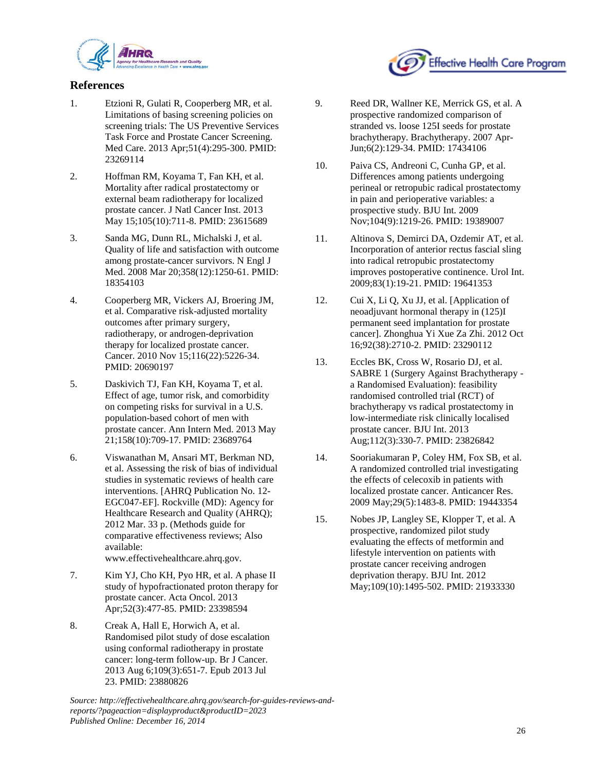

## **References**

- 1. Etzioni R, Gulati R, Cooperberg MR, et al. Limitations of basing screening policies on screening trials: The US Preventive Services Task Force and Prostate Cancer Screening. Med Care. 2013 Apr;51(4):295-300. PMID: 23269114
- 2. Hoffman RM, Koyama T, Fan KH, et al. Mortality after radical prostatectomy or external beam radiotherapy for localized prostate cancer. J Natl Cancer Inst. 2013 May 15;105(10):711-8. PMID: 23615689
- 3. Sanda MG, Dunn RL, Michalski J, et al. Quality of life and satisfaction with outcome among prostate-cancer survivors. N Engl J Med. 2008 Mar 20;358(12):1250-61. PMID: 18354103
- 4. Cooperberg MR, Vickers AJ, Broering JM, et al. Comparative risk-adjusted mortality outcomes after primary surgery, radiotherapy, or androgen-deprivation therapy for localized prostate cancer. Cancer. 2010 Nov 15;116(22):5226-34. PMID: 20690197
- 5. Daskivich TJ, Fan KH, Koyama T, et al. Effect of age, tumor risk, and comorbidity on competing risks for survival in a U.S. population-based cohort of men with prostate cancer. Ann Intern Med. 2013 May 21;158(10):709-17. PMID: 23689764
- 6. Viswanathan M, Ansari MT, Berkman ND, et al. Assessing the risk of bias of individual studies in systematic reviews of health care interventions. [AHRQ Publication No. 12- EGC047-EF]. Rockville (MD): Agency for Healthcare Research and Quality (AHRQ); 2012 Mar. 33 p. (Methods guide for comparative effectiveness reviews; Also available: www.effectivehealthcare.ahrq.gov.
- 7. Kim YJ, Cho KH, Pyo HR, et al. A phase II study of hypofractionated proton therapy for prostate cancer. Acta Oncol. 2013 Apr;52(3):477-85. PMID: 23398594
- 8. Creak A, Hall E, Horwich A, et al. Randomised pilot study of dose escalation using conformal radiotherapy in prostate cancer: long-term follow-up. Br J Cancer. 2013 Aug 6;109(3):651-7. Epub 2013 Jul 23. PMID: 23880826

9. Reed DR, Wallner KE, Merrick GS, et al. A prospective randomized comparison of stranded vs. loose 125I seeds for prostate brachytherapy. Brachytherapy. 2007 Apr-Jun;6(2):129-34. PMID: 17434106

Effective Health Care Program

- 10. Paiva CS, Andreoni C, Cunha GP, et al. Differences among patients undergoing perineal or retropubic radical prostatectomy in pain and perioperative variables: a prospective study. BJU Int. 2009 Nov;104(9):1219-26. PMID: 19389007
- 11. Altinova S, Demirci DA, Ozdemir AT, et al. Incorporation of anterior rectus fascial sling into radical retropubic prostatectomy improves postoperative continence. Urol Int. 2009;83(1):19-21. PMID: 19641353
- 12. Cui X, Li Q, Xu JJ, et al. [Application of neoadjuvant hormonal therapy in (125)I permanent seed implantation for prostate cancer]. Zhonghua Yi Xue Za Zhi. 2012 Oct 16;92(38):2710-2. PMID: 23290112
- 13. Eccles BK, Cross W, Rosario DJ, et al. SABRE 1 (Surgery Against Brachytherapy a Randomised Evaluation): feasibility randomised controlled trial (RCT) of brachytherapy vs radical prostatectomy in low-intermediate risk clinically localised prostate cancer. BJU Int. 2013 Aug;112(3):330-7. PMID: 23826842
- 14. Sooriakumaran P, Coley HM, Fox SB, et al. A randomized controlled trial investigating the effects of celecoxib in patients with localized prostate cancer. Anticancer Res. 2009 May;29(5):1483-8. PMID: 19443354
- 15. Nobes JP, Langley SE, Klopper T, et al. A prospective, randomized pilot study evaluating the effects of metformin and lifestyle intervention on patients with prostate cancer receiving androgen deprivation therapy. BJU Int. 2012 May;109(10):1495-502. PMID: 21933330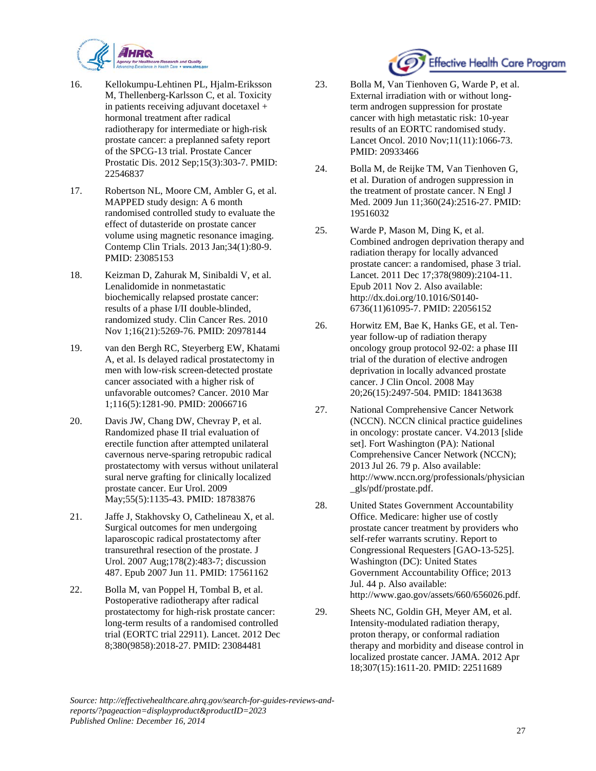

- 16. Kellokumpu-Lehtinen PL, Hjalm-Eriksson M, Thellenberg-Karlsson C, et al. Toxicity in patients receiving adjuvant docetaxel + hormonal treatment after radical radiotherapy for intermediate or high-risk prostate cancer: a preplanned safety report of the SPCG-13 trial. Prostate Cancer Prostatic Dis. 2012 Sep;15(3):303-7. PMID: 22546837
- 17. Robertson NL, Moore CM, Ambler G, et al. MAPPED study design: A 6 month randomised controlled study to evaluate the effect of dutasteride on prostate cancer volume using magnetic resonance imaging. Contemp Clin Trials. 2013 Jan;34(1):80-9. PMID: 23085153
- 18. Keizman D, Zahurak M, Sinibaldi V, et al. Lenalidomide in nonmetastatic biochemically relapsed prostate cancer: results of a phase I/II double-blinded, randomized study. Clin Cancer Res. 2010 Nov 1;16(21):5269-76. PMID: 20978144
- 19. van den Bergh RC, Steyerberg EW, Khatami A, et al. Is delayed radical prostatectomy in men with low-risk screen-detected prostate cancer associated with a higher risk of unfavorable outcomes? Cancer. 2010 Mar 1;116(5):1281-90. PMID: 20066716
- 20. Davis JW, Chang DW, Chevray P, et al. Randomized phase II trial evaluation of erectile function after attempted unilateral cavernous nerve-sparing retropubic radical prostatectomy with versus without unilateral sural nerve grafting for clinically localized prostate cancer. Eur Urol. 2009 May;55(5):1135-43. PMID: 18783876
- 21. Jaffe J, Stakhovsky O, Cathelineau X, et al. Surgical outcomes for men undergoing laparoscopic radical prostatectomy after transurethral resection of the prostate. J Urol. 2007 Aug;178(2):483-7; discussion 487. Epub 2007 Jun 11. PMID: 17561162
- 22. Bolla M, van Poppel H, Tombal B, et al. Postoperative radiotherapy after radical prostatectomy for high-risk prostate cancer: long-term results of a randomised controlled trial (EORTC trial 22911). Lancet. 2012 Dec 8;380(9858):2018-27. PMID: 23084481



- 23. Bolla M, Van Tienhoven G, Warde P, et al. External irradiation with or without longterm androgen suppression for prostate cancer with high metastatic risk: 10-year results of an EORTC randomised study. Lancet Oncol. 2010 Nov;11(11):1066-73. PMID: 20933466
- 24. Bolla M, de Reijke TM, Van Tienhoven G, et al. Duration of androgen suppression in the treatment of prostate cancer. N Engl J Med. 2009 Jun 11;360(24):2516-27. PMID: 19516032
- 25. Warde P, Mason M, Ding K, et al. Combined androgen deprivation therapy and radiation therapy for locally advanced prostate cancer: a randomised, phase 3 trial. Lancet. 2011 Dec 17;378(9809):2104-11. Epub 2011 Nov 2. Also available: http://dx.doi.org/10.1016/S0140- 6736(11)61095-7. PMID: 22056152
- 26. Horwitz EM, Bae K, Hanks GE, et al. Tenyear follow-up of radiation therapy oncology group protocol 92-02: a phase III trial of the duration of elective androgen deprivation in locally advanced prostate cancer. J Clin Oncol. 2008 May 20;26(15):2497-504. PMID: 18413638
- 27. National Comprehensive Cancer Network (NCCN). NCCN clinical practice guidelines in oncology: prostate cancer. V4.2013 [slide set]. Fort Washington (PA): National Comprehensive Cancer Network (NCCN); 2013 Jul 26. 79 p. Also available: http://www.nccn.org/professionals/physician \_gls/pdf/prostate.pdf.
- 28. United States Government Accountability Office. Medicare: higher use of costly prostate cancer treatment by providers who self-refer warrants scrutiny. Report to Congressional Requesters [GAO-13-525]. Washington (DC): United States Government Accountability Office; 2013 Jul. 44 p. Also available: http://www.gao.gov/assets/660/656026.pdf.
- 29. Sheets NC, Goldin GH, Meyer AM, et al. Intensity-modulated radiation therapy, proton therapy, or conformal radiation therapy and morbidity and disease control in localized prostate cancer. JAMA. 2012 Apr 18;307(15):1611-20. PMID: 22511689